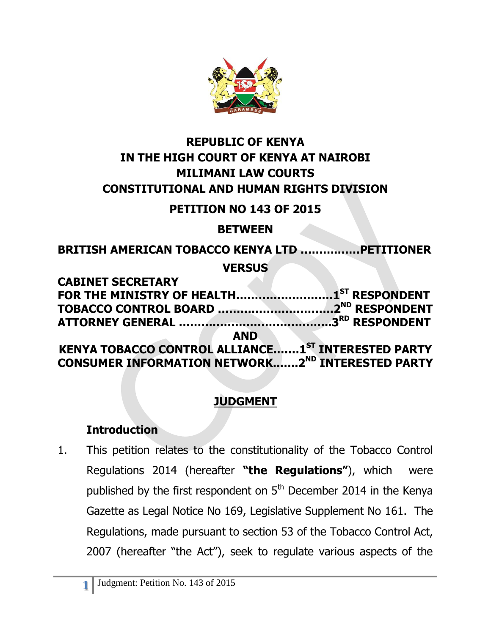

# **REPUBLIC OF KENYA IN THE HIGH COURT OF KENYA AT NAIROBI MILIMANI LAW COURTS CONSTITUTIONAL AND HUMAN RIGHTS DIVISION**

#### **PETITION NO 143 OF 2015**

#### **BETWEEN**

**BRITISH AMERICAN TOBACCO KENYA LTD ……….……PETITIONER VERSUS** 

**CABINET SECRETARY FOR THE MINISTRY OF HEALTH…………….……….1 ST RESPONDENT TOBACCO CONTROL BOARD ………………………….2 ND RESPONDENT ATTORNEY GENERAL …………………………………..3 RD RESPONDENT AND KENYA TOBACCO CONTROL ALLIANCE.……1 ST INTERESTED PARTY CONSUMER INFORMATION NETWORK..…..2ND INTERESTED PARTY**

## **JUDGMENT**

#### **Introduction**

1. This petition relates to the constitutionality of the Tobacco Control Regulations 2014 (hereafter **"the Regulations"**), which were published by the first respondent on  $5<sup>th</sup>$  December 2014 in the Kenya Gazette as Legal Notice No 169, Legislative Supplement No 161. The Regulations, made pursuant to section 53 of the Tobacco Control Act, 2007 (hereafter "the Act"), seek to regulate various aspects of the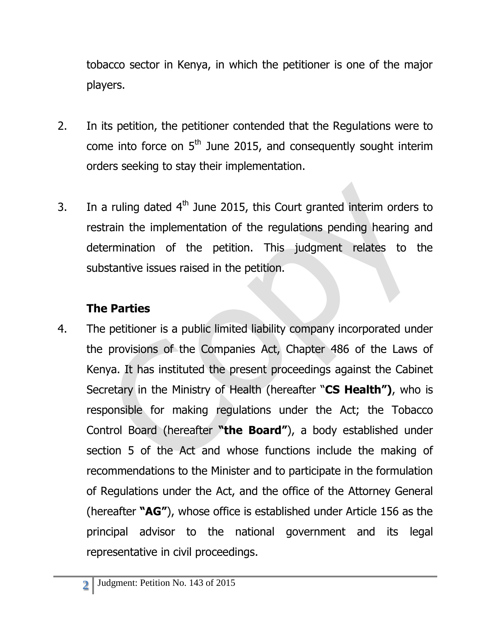tobacco sector in Kenya, in which the petitioner is one of the major players.

- 2. In its petition, the petitioner contended that the Regulations were to come into force on  $5<sup>th</sup>$  June 2015, and consequently sought interim orders seeking to stay their implementation.
- 3. In a ruling dated  $4<sup>th</sup>$  June 2015, this Court granted interim orders to restrain the implementation of the regulations pending hearing and determination of the petition. This judgment relates to the substantive issues raised in the petition.

# **The Parties**

4. The petitioner is a public limited liability company incorporated under the provisions of the Companies Act, Chapter 486 of the Laws of Kenya. It has instituted the present proceedings against the Cabinet Secretary in the Ministry of Health (hereafter "**CS Health")**, who is responsible for making regulations under the Act; the Tobacco Control Board (hereafter **"the Board"**), a body established under section 5 of the Act and whose functions include the making of recommendations to the Minister and to participate in the formulation of Regulations under the Act, and the office of the Attorney General (hereafter **"AG"**), whose office is established under Article 156 as the principal advisor to the national government and its legal representative in civil proceedings.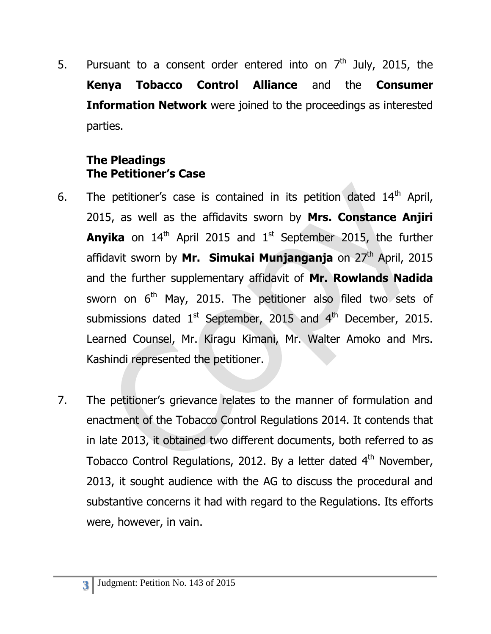5. Pursuant to a consent order entered into on  $7<sup>th</sup>$  July, 2015, the **Kenya Tobacco Control Alliance** and the **Consumer Information Network** were joined to the proceedings as interested parties.

#### **The Pleadings The Petitioner's Case**

- 6. The petitioner's case is contained in its petition dated  $14<sup>th</sup>$  April, 2015, as well as the affidavits sworn by **Mrs. Constance Anjiri Anyika** on 14<sup>th</sup> April 2015 and 1<sup>st</sup> September 2015, the further affidavit sworn by Mr. Simukai Munjanganja on 27<sup>th</sup> April, 2015 and the further supplementary affidavit of **Mr. Rowlands Nadida** sworn on  $6<sup>th</sup>$  May, 2015. The petitioner also filed two sets of submissions dated  $1<sup>st</sup>$  September, 2015 and  $4<sup>th</sup>$  December, 2015. Learned Counsel, Mr. Kiragu Kimani, Mr. Walter Amoko and Mrs. Kashindi represented the petitioner.
- 7. The petitioner's grievance relates to the manner of formulation and enactment of the Tobacco Control Regulations 2014. It contends that in late 2013, it obtained two different documents, both referred to as Tobacco Control Regulations, 2012. By a letter dated 4<sup>th</sup> November, 2013, it sought audience with the AG to discuss the procedural and substantive concerns it had with regard to the Regulations. Its efforts were, however, in vain.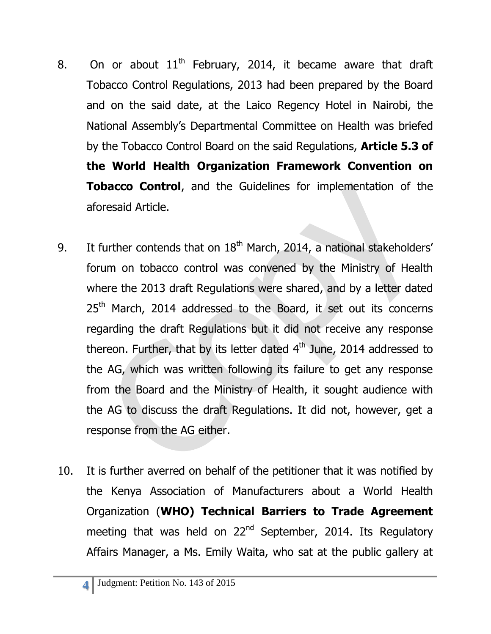- 8. On or about  $11<sup>th</sup>$  February, 2014, it became aware that draft Tobacco Control Regulations, 2013 had been prepared by the Board and on the said date, at the Laico Regency Hotel in Nairobi, the National Assembly's Departmental Committee on Health was briefed by the Tobacco Control Board on the said Regulations, **Article 5.3 of the World Health Organization Framework Convention on Tobacco Control**, and the Guidelines for implementation of the aforesaid Article.
- 9. It further contends that on  $18<sup>th</sup>$  March, 2014, a national stakeholders' forum on tobacco control was convened by the Ministry of Health where the 2013 draft Regulations were shared, and by a letter dated 25<sup>th</sup> March, 2014 addressed to the Board, it set out its concerns regarding the draft Regulations but it did not receive any response thereon. Further, that by its letter dated 4<sup>th</sup> June, 2014 addressed to the AG, which was written following its failure to get any response from the Board and the Ministry of Health, it sought audience with the AG to discuss the draft Regulations. It did not, however, get a response from the AG either.
- 10. It is further averred on behalf of the petitioner that it was notified by the Kenya Association of Manufacturers about a World Health Organization (**WHO) Technical Barriers to Trade Agreement** meeting that was held on 22<sup>nd</sup> September, 2014. Its Regulatory Affairs Manager, a Ms. Emily Waita, who sat at the public gallery at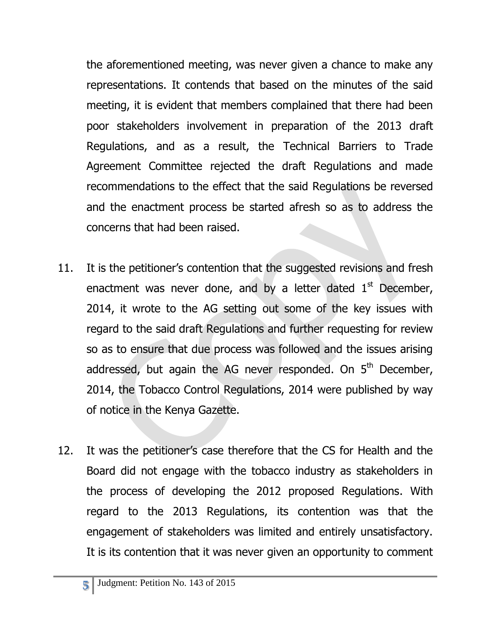the aforementioned meeting, was never given a chance to make any representations. It contends that based on the minutes of the said meeting, it is evident that members complained that there had been poor stakeholders involvement in preparation of the 2013 draft Regulations, and as a result, the Technical Barriers to Trade Agreement Committee rejected the draft Regulations and made recommendations to the effect that the said Regulations be reversed and the enactment process be started afresh so as to address the concerns that had been raised.

- 11. It is the petitioner's contention that the suggested revisions and fresh enactment was never done, and by a letter dated  $1<sup>st</sup>$  December, 2014, it wrote to the AG setting out some of the key issues with regard to the said draft Regulations and further requesting for review so as to ensure that due process was followed and the issues arising addressed, but again the AG never responded. On 5<sup>th</sup> December, 2014, the Tobacco Control Regulations, 2014 were published by way of notice in the Kenya Gazette.
- 12. It was the petitioner's case therefore that the CS for Health and the Board did not engage with the tobacco industry as stakeholders in the process of developing the 2012 proposed Regulations. With regard to the 2013 Regulations, its contention was that the engagement of stakeholders was limited and entirely unsatisfactory. It is its contention that it was never given an opportunity to comment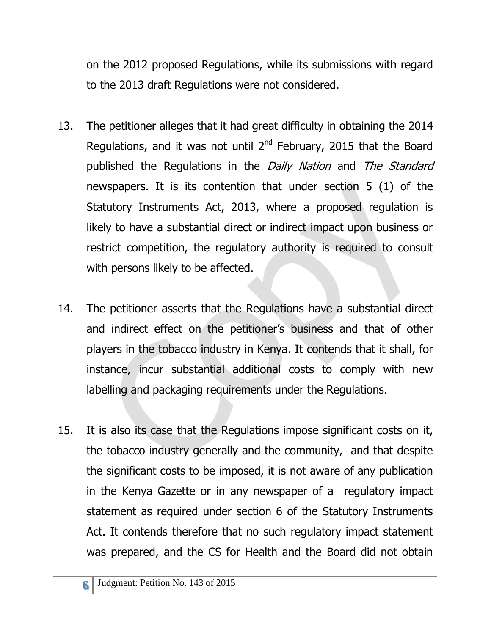on the 2012 proposed Regulations, while its submissions with regard to the 2013 draft Regulations were not considered.

- 13. The petitioner alleges that it had great difficulty in obtaining the 2014 Regulations, and it was not until  $2^{nd}$  February, 2015 that the Board published the Regulations in the Daily Nation and The Standard newspapers. It is its contention that under section 5 (1) of the Statutory Instruments Act, 2013, where a proposed regulation is likely to have a substantial direct or indirect impact upon business or restrict competition, the regulatory authority is required to consult with persons likely to be affected.
- 14. The petitioner asserts that the Regulations have a substantial direct and indirect effect on the petitioner's business and that of other players in the tobacco industry in Kenya. It contends that it shall, for instance, incur substantial additional costs to comply with new labelling and packaging requirements under the Regulations.
- 15. It is also its case that the Regulations impose significant costs on it, the tobacco industry generally and the community, and that despite the significant costs to be imposed, it is not aware of any publication in the Kenya Gazette or in any newspaper of a regulatory impact statement as required under section 6 of the Statutory Instruments Act. It contends therefore that no such regulatory impact statement was prepared, and the CS for Health and the Board did not obtain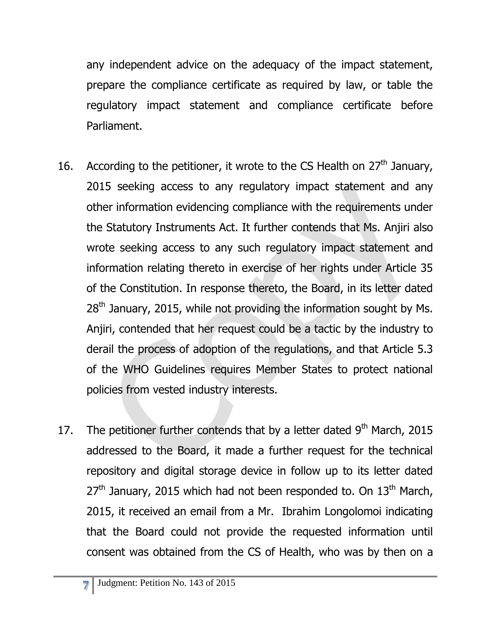any independent advice on the adequacy of the impact statement, prepare the compliance certificate as required by law, or table the regulatory impact statement and compliance certificate before Parliament.

- 16. According to the petitioner, it wrote to the CS Health on  $27<sup>th</sup>$  January, 2015 seeking access to any regulatory impact statement and any other information evidencing compliance with the requirements under the Statutory Instruments Act. It further contends that Ms. Anjiri also wrote seeking access to any such regulatory impact statement and information relating thereto in exercise of her rights under Article 35 of the Constitution. In response thereto, the Board, in its letter dated  $28<sup>th</sup>$  January, 2015, while not providing the information sought by Ms. Anjiri, contended that her request could be a tactic by the industry to derail the process of adoption of the regulations, and that Article 5.3 of the WHO Guidelines requires Member States to protect national policies from vested industry interests.
- 17. The petitioner further contends that by a letter dated  $9<sup>th</sup>$  March, 2015 addressed to the Board, it made a further request for the technical repository and digital storage device in follow up to its letter dated  $27<sup>th</sup>$  January, 2015 which had not been responded to. On  $13<sup>th</sup>$  March, 2015, it received an email from a Mr. Ibrahim Longolomoi indicating that the Board could not provide the requested information until consent was obtained from the CS of Health, who was by then on a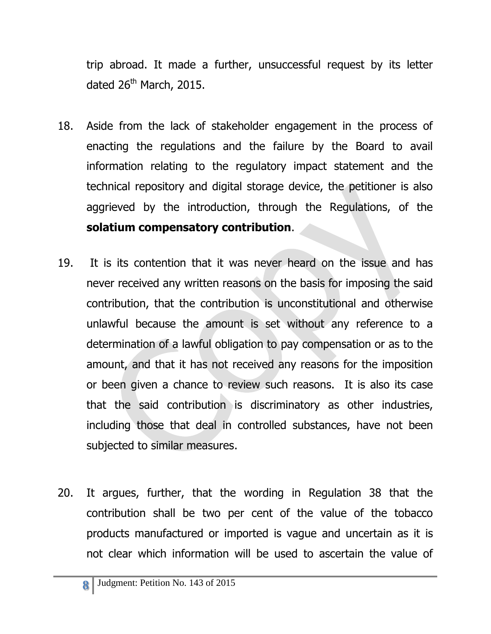trip abroad. It made a further, unsuccessful request by its letter dated  $26<sup>th</sup>$  March, 2015.

- 18. Aside from the lack of stakeholder engagement in the process of enacting the regulations and the failure by the Board to avail information relating to the regulatory impact statement and the technical repository and digital storage device, the petitioner is also aggrieved by the introduction, through the Regulations, of the **solatium compensatory contribution**.
- 19. It is its contention that it was never heard on the issue and has never received any written reasons on the basis for imposing the said contribution, that the contribution is unconstitutional and otherwise unlawful because the amount is set without any reference to a determination of a lawful obligation to pay compensation or as to the amount, and that it has not received any reasons for the imposition or been given a chance to review such reasons. It is also its case that the said contribution is discriminatory as other industries, including those that deal in controlled substances, have not been subjected to similar measures.
- 20. It argues, further, that the wording in Regulation 38 that the contribution shall be two per cent of the value of the tobacco products manufactured or imported is vague and uncertain as it is not clear which information will be used to ascertain the value of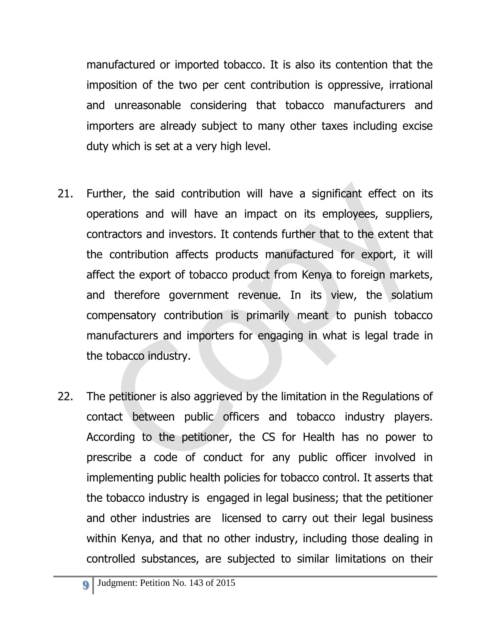manufactured or imported tobacco. It is also its contention that the imposition of the two per cent contribution is oppressive, irrational and unreasonable considering that tobacco manufacturers and importers are already subject to many other taxes including excise duty which is set at a very high level.

- 21. Further, the said contribution will have a significant effect on its operations and will have an impact on its employees, suppliers, contractors and investors. It contends further that to the extent that the contribution affects products manufactured for export, it will affect the export of tobacco product from Kenya to foreign markets, and therefore government revenue. In its view, the solatium compensatory contribution is primarily meant to punish tobacco manufacturers and importers for engaging in what is legal trade in the tobacco industry.
- 22. The petitioner is also aggrieved by the limitation in the Regulations of contact between public officers and tobacco industry players. According to the petitioner, the CS for Health has no power to prescribe a code of conduct for any public officer involved in implementing public health policies for tobacco control. It asserts that the tobacco industry is engaged in legal business; that the petitioner and other industries are licensed to carry out their legal business within Kenya, and that no other industry, including those dealing in controlled substances, are subjected to similar limitations on their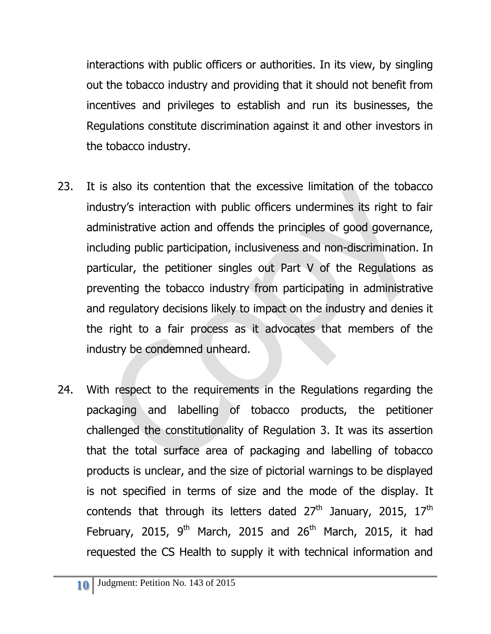interactions with public officers or authorities. In its view, by singling out the tobacco industry and providing that it should not benefit from incentives and privileges to establish and run its businesses, the Regulations constitute discrimination against it and other investors in the tobacco industry.

- 23. It is also its contention that the excessive limitation of the tobacco industry's interaction with public officers undermines its right to fair administrative action and offends the principles of good governance, including public participation, inclusiveness and non-discrimination. In particular, the petitioner singles out Part V of the Regulations as preventing the tobacco industry from participating in administrative and regulatory decisions likely to impact on the industry and denies it the right to a fair process as it advocates that members of the industry be condemned unheard.
- 24. With respect to the requirements in the Regulations regarding the packaging and labelling of tobacco products, the petitioner challenged the constitutionality of Regulation 3. It was its assertion that the total surface area of packaging and labelling of tobacco products is unclear, and the size of pictorial warnings to be displayed is not specified in terms of size and the mode of the display. It contends that through its letters dated  $27<sup>th</sup>$  January, 2015,  $17<sup>th</sup>$ February, 2015,  $9<sup>th</sup>$  March, 2015 and 26<sup>th</sup> March, 2015, it had requested the CS Health to supply it with technical information and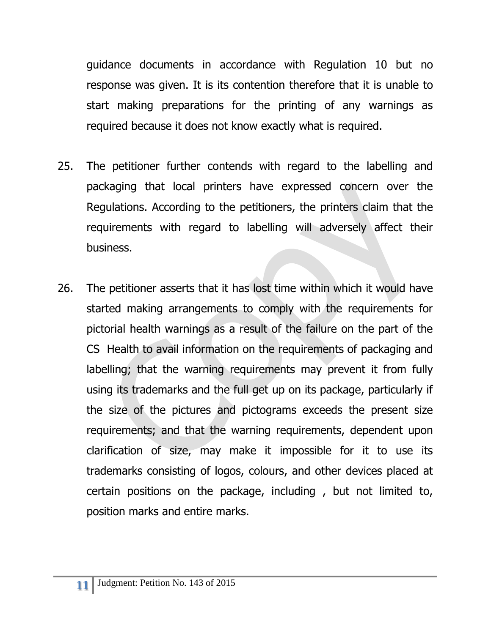guidance documents in accordance with Regulation 10 but no response was given. It is its contention therefore that it is unable to start making preparations for the printing of any warnings as required because it does not know exactly what is required.

- 25. The petitioner further contends with regard to the labelling and packaging that local printers have expressed concern over the Regulations. According to the petitioners, the printers claim that the requirements with regard to labelling will adversely affect their business.
- 26. The petitioner asserts that it has lost time within which it would have started making arrangements to comply with the requirements for pictorial health warnings as a result of the failure on the part of the CS Health to avail information on the requirements of packaging and labelling; that the warning requirements may prevent it from fully using its trademarks and the full get up on its package, particularly if the size of the pictures and pictograms exceeds the present size requirements; and that the warning requirements, dependent upon clarification of size, may make it impossible for it to use its trademarks consisting of logos, colours, and other devices placed at certain positions on the package, including , but not limited to, position marks and entire marks.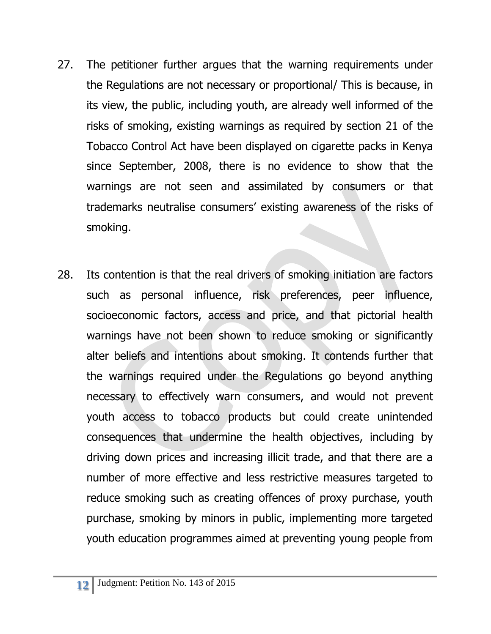- 27. The petitioner further argues that the warning requirements under the Regulations are not necessary or proportional/ This is because, in its view, the public, including youth, are already well informed of the risks of smoking, existing warnings as required by section 21 of the Tobacco Control Act have been displayed on cigarette packs in Kenya since September, 2008, there is no evidence to show that the warnings are not seen and assimilated by consumers or that trademarks neutralise consumers' existing awareness of the risks of smoking.
- 28. Its contention is that the real drivers of smoking initiation are factors such as personal influence, risk preferences, peer influence, socioeconomic factors, access and price, and that pictorial health warnings have not been shown to reduce smoking or significantly alter beliefs and intentions about smoking. It contends further that the warnings required under the Regulations go beyond anything necessary to effectively warn consumers, and would not prevent youth access to tobacco products but could create unintended consequences that undermine the health objectives, including by driving down prices and increasing illicit trade, and that there are a number of more effective and less restrictive measures targeted to reduce smoking such as creating offences of proxy purchase, youth purchase, smoking by minors in public, implementing more targeted youth education programmes aimed at preventing young people from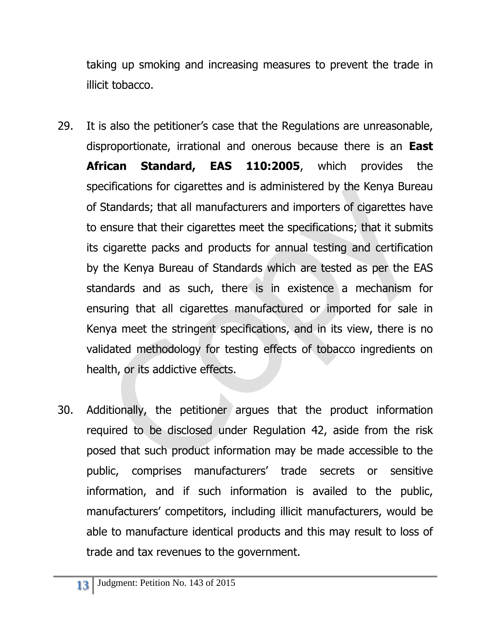taking up smoking and increasing measures to prevent the trade in illicit tobacco.

- 29. It is also the petitioner's case that the Regulations are unreasonable, disproportionate, irrational and onerous because there is an **East African Standard, EAS 110:2005**, which provides the specifications for cigarettes and is administered by the Kenya Bureau of Standards; that all manufacturers and importers of cigarettes have to ensure that their cigarettes meet the specifications; that it submits its cigarette packs and products for annual testing and certification by the Kenya Bureau of Standards which are tested as per the EAS standards and as such, there is in existence a mechanism for ensuring that all cigarettes manufactured or imported for sale in Kenya meet the stringent specifications, and in its view, there is no validated methodology for testing effects of tobacco ingredients on health, or its addictive effects.
- 30. Additionally, the petitioner argues that the product information required to be disclosed under Regulation 42, aside from the risk posed that such product information may be made accessible to the public, comprises manufacturers' trade secrets or sensitive information, and if such information is availed to the public, manufacturers' competitors, including illicit manufacturers, would be able to manufacture identical products and this may result to loss of trade and tax revenues to the government.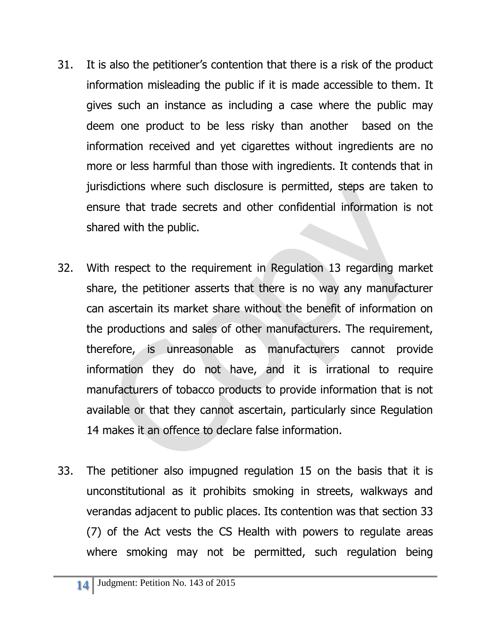- 31. It is also the petitioner's contention that there is a risk of the product information misleading the public if it is made accessible to them. It gives such an instance as including a case where the public may deem one product to be less risky than another based on the information received and yet cigarettes without ingredients are no more or less harmful than those with ingredients. It contends that in jurisdictions where such disclosure is permitted, steps are taken to ensure that trade secrets and other confidential information is not shared with the public.
- 32. With respect to the requirement in Regulation 13 regarding market share, the petitioner asserts that there is no way any manufacturer can ascertain its market share without the benefit of information on the productions and sales of other manufacturers. The requirement, therefore, is unreasonable as manufacturers cannot provide information they do not have, and it is irrational to require manufacturers of tobacco products to provide information that is not available or that they cannot ascertain, particularly since Regulation 14 makes it an offence to declare false information.
- 33. The petitioner also impugned regulation 15 on the basis that it is unconstitutional as it prohibits smoking in streets, walkways and verandas adjacent to public places. Its contention was that section 33 (7) of the Act vests the CS Health with powers to regulate areas where smoking may not be permitted, such regulation being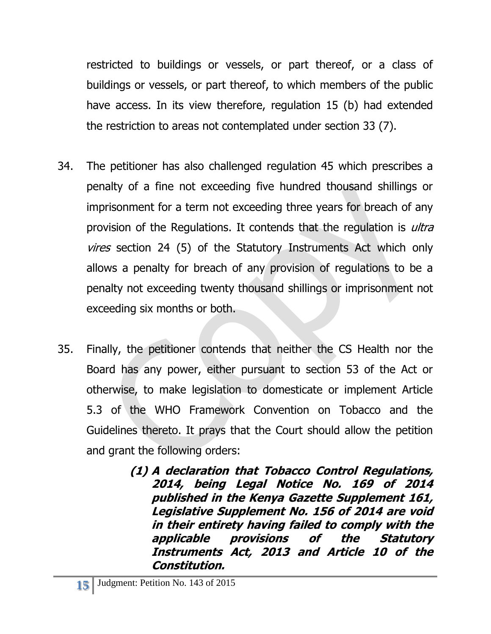restricted to buildings or vessels, or part thereof, or a class of buildings or vessels, or part thereof, to which members of the public have access. In its view therefore, regulation 15 (b) had extended the restriction to areas not contemplated under section 33 (7).

- 34. The petitioner has also challenged regulation 45 which prescribes a penalty of a fine not exceeding five hundred thousand shillings or imprisonment for a term not exceeding three years for breach of any provision of the Regulations. It contends that the regulation is *ultra* vires section 24 (5) of the Statutory Instruments Act which only allows a penalty for breach of any provision of regulations to be a penalty not exceeding twenty thousand shillings or imprisonment not exceeding six months or both.
- 35. Finally, the petitioner contends that neither the CS Health nor the Board has any power, either pursuant to section 53 of the Act or otherwise, to make legislation to domesticate or implement Article 5.3 of the WHO Framework Convention on Tobacco and the Guidelines thereto. It prays that the Court should allow the petition and grant the following orders:
	- **(1) A declaration that Tobacco Control Regulations, 2014, being Legal Notice No. 169 of 2014 published in the Kenya Gazette Supplement 161, Legislative Supplement No. 156 of 2014 are void in their entirety having failed to comply with the applicable provisions of the Statutory Instruments Act, 2013 and Article 10 of the Constitution.**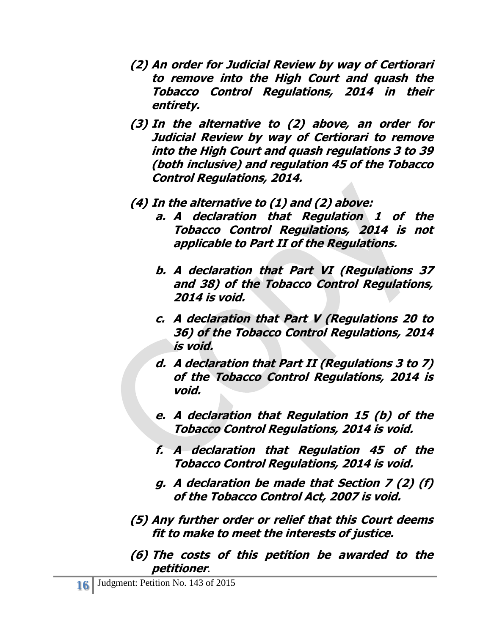- **(2) An order for Judicial Review by way of Certiorari to remove into the High Court and quash the Tobacco Control Regulations, 2014 in their entirety.**
- **(3) In the alternative to (2) above, an order for Judicial Review by way of Certiorari to remove into the High Court and quash regulations 3 to 39 (both inclusive) and regulation 45 of the Tobacco Control Regulations, 2014.**

#### **(4) In the alternative to (1) and (2) above:**

- **a. A declaration that Regulation 1 of the Tobacco Control Regulations, 2014 is not applicable to Part II of the Regulations.**
- **b. A declaration that Part VI (Regulations 37 and 38) of the Tobacco Control Regulations, 2014 is void.**
- **c. A declaration that Part V (Regulations 20 to 36) of the Tobacco Control Regulations, 2014 is void.**
- **d. A declaration that Part II (Regulations 3 to 7) of the Tobacco Control Regulations, 2014 is void.**
- **e. A declaration that Regulation 15 (b) of the Tobacco Control Regulations, 2014 is void.**
- **f. A declaration that Regulation 45 of the Tobacco Control Regulations, 2014 is void.**
- **g. A declaration be made that Section 7 (2) (f) of the Tobacco Control Act, 2007 is void.**
- **(5) Any further order or relief that this Court deems fit to make to meet the interests of justice.**
- **(6) The costs of this petition be awarded to the petitioner**.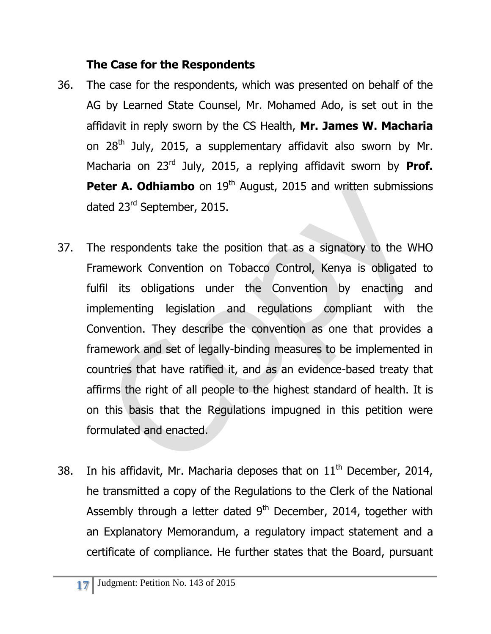## **The Case for the Respondents**

- 36. The case for the respondents, which was presented on behalf of the AG by Learned State Counsel, Mr. Mohamed Ado, is set out in the affidavit in reply sworn by the CS Health, **Mr. James W. Macharia** on 28<sup>th</sup> July, 2015, a supplementary affidavit also sworn by Mr. Macharia on 23rd July, 2015, a replying affidavit sworn by **Prof. Peter A. Odhiambo** on 19<sup>th</sup> August, 2015 and written submissions dated 23<sup>rd</sup> September, 2015.
- 37. The respondents take the position that as a signatory to the WHO Framework Convention on Tobacco Control, Kenya is obligated to fulfil its obligations under the Convention by enacting and implementing legislation and regulations compliant with the Convention. They describe the convention as one that provides a framework and set of legally-binding measures to be implemented in countries that have ratified it, and as an evidence-based treaty that affirms the right of all people to the highest standard of health. It is on this basis that the Regulations impugned in this petition were formulated and enacted.
- 38. In his affidavit, Mr. Macharia deposes that on  $11<sup>th</sup>$  December, 2014, he transmitted a copy of the Regulations to the Clerk of the National Assembly through a letter dated  $9<sup>th</sup>$  December, 2014, together with an Explanatory Memorandum, a regulatory impact statement and a certificate of compliance. He further states that the Board, pursuant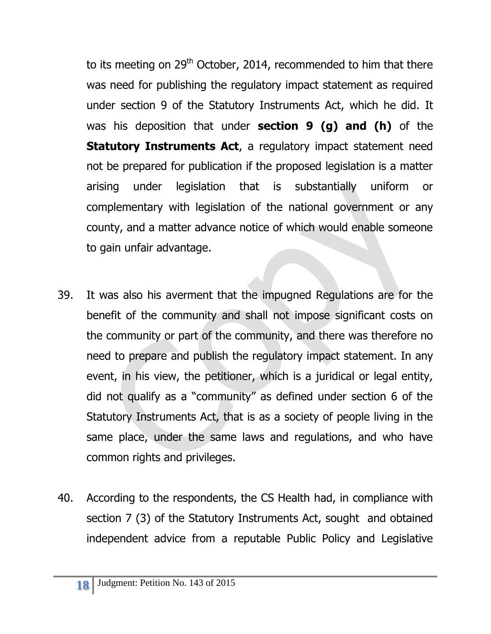to its meeting on  $29<sup>th</sup>$  October, 2014, recommended to him that there was need for publishing the regulatory impact statement as required under section 9 of the Statutory Instruments Act, which he did. It was his deposition that under **section 9 (g) and (h)** of the **Statutory Instruments Act**, a regulatory impact statement need not be prepared for publication if the proposed legislation is a matter arising under legislation that is substantially uniform or complementary with legislation of the national government or any county, and a matter advance notice of which would enable someone to gain unfair advantage.

- 39. It was also his averment that the impugned Regulations are for the benefit of the community and shall not impose significant costs on the community or part of the community, and there was therefore no need to prepare and publish the regulatory impact statement. In any event, in his view, the petitioner, which is a juridical or legal entity, did not qualify as a "community" as defined under section 6 of the Statutory Instruments Act, that is as a society of people living in the same place, under the same laws and regulations, and who have common rights and privileges.
- 40. According to the respondents, the CS Health had, in compliance with section 7 (3) of the Statutory Instruments Act, sought and obtained independent advice from a reputable Public Policy and Legislative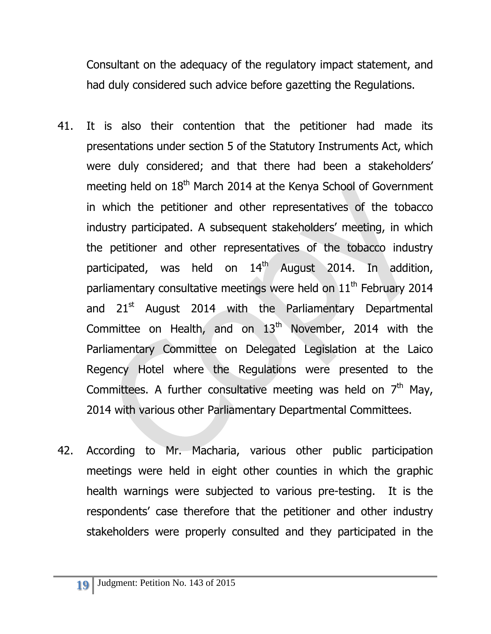Consultant on the adequacy of the regulatory impact statement, and had duly considered such advice before gazetting the Regulations.

- 41. It is also their contention that the petitioner had made its presentations under section 5 of the Statutory Instruments Act, which were duly considered; and that there had been a stakeholders' meeting held on 18<sup>th</sup> March 2014 at the Kenya School of Government in which the petitioner and other representatives of the tobacco industry participated. A subsequent stakeholders' meeting, in which the petitioner and other representatives of the tobacco industry participated, was held on  $14<sup>th</sup>$  August 2014. In addition, parliamentary consultative meetings were held on  $11<sup>th</sup>$  February 2014 and  $21<sup>st</sup>$  August 2014 with the Parliamentary Departmental Committee on Health, and on  $13<sup>th</sup>$  November, 2014 with the Parliamentary Committee on Delegated Legislation at the Laico Regency Hotel where the Regulations were presented to the Committees. A further consultative meeting was held on  $7<sup>th</sup>$  May, 2014 with various other Parliamentary Departmental Committees.
- 42. According to Mr. Macharia, various other public participation meetings were held in eight other counties in which the graphic health warnings were subjected to various pre-testing. It is the respondents' case therefore that the petitioner and other industry stakeholders were properly consulted and they participated in the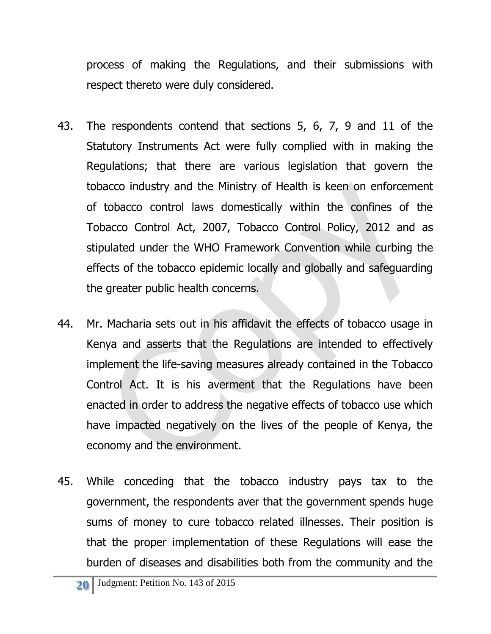process of making the Regulations, and their submissions with respect thereto were duly considered.

- 43. The respondents contend that sections 5, 6, 7, 9 and 11 of the Statutory Instruments Act were fully complied with in making the Regulations; that there are various legislation that govern the tobacco industry and the Ministry of Health is keen on enforcement of tobacco control laws domestically within the confines of the Tobacco Control Act, 2007, Tobacco Control Policy, 2012 and as stipulated under the WHO Framework Convention while curbing the effects of the tobacco epidemic locally and globally and safeguarding the greater public health concerns.
- 44. Mr. Macharia sets out in his affidavit the effects of tobacco usage in Kenya and asserts that the Regulations are intended to effectively implement the life-saving measures already contained in the Tobacco Control Act. It is his averment that the Regulations have been enacted in order to address the negative effects of tobacco use which have impacted negatively on the lives of the people of Kenya, the economy and the environment.
- 45. While conceding that the tobacco industry pays tax to the government, the respondents aver that the government spends huge sums of money to cure tobacco related illnesses. Their position is that the proper implementation of these Regulations will ease the burden of diseases and disabilities both from the community and the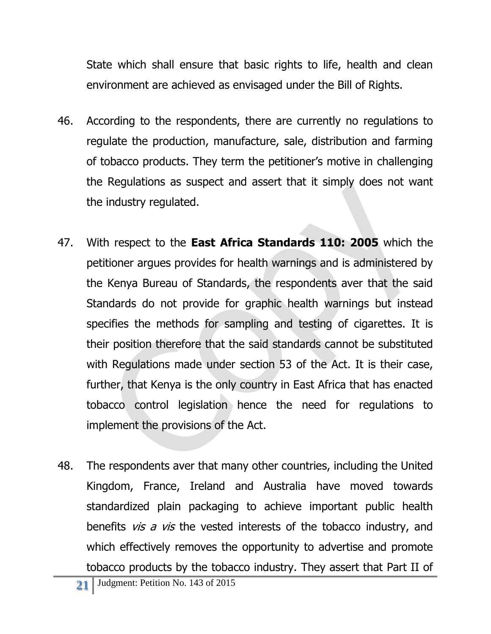State which shall ensure that basic rights to life, health and clean environment are achieved as envisaged under the Bill of Rights.

- 46. According to the respondents, there are currently no regulations to regulate the production, manufacture, sale, distribution and farming of tobacco products. They term the petitioner's motive in challenging the Regulations as suspect and assert that it simply does not want the industry regulated.
- 47. With respect to the **East Africa Standards 110: 2005** which the petitioner argues provides for health warnings and is administered by the Kenya Bureau of Standards, the respondents aver that the said Standards do not provide for graphic health warnings but instead specifies the methods for sampling and testing of cigarettes. It is their position therefore that the said standards cannot be substituted with Regulations made under section 53 of the Act. It is their case, further, that Kenya is the only country in East Africa that has enacted tobacco control legislation hence the need for regulations to implement the provisions of the Act.
- 48. The respondents aver that many other countries, including the United Kingdom, France, Ireland and Australia have moved towards standardized plain packaging to achieve important public health benefits  $vis a vis$  the vested interests of the tobacco industry, and which effectively removes the opportunity to advertise and promote tobacco products by the tobacco industry. They assert that Part II of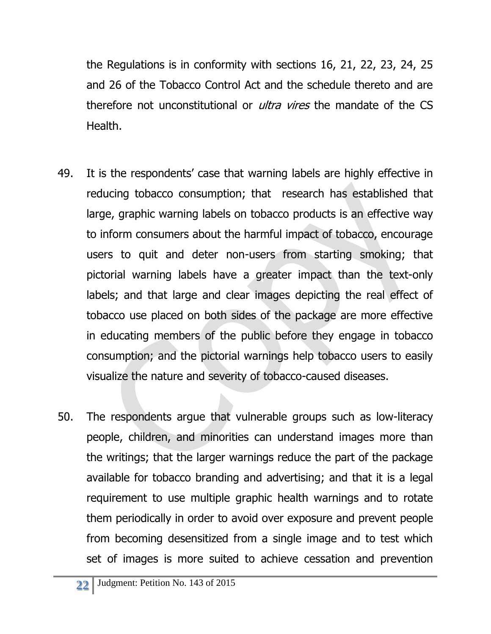the Regulations is in conformity with sections 16, 21, 22, 23, 24, 25 and 26 of the Tobacco Control Act and the schedule thereto and are therefore not unconstitutional or *ultra vires* the mandate of the CS Health.

- 49. It is the respondents' case that warning labels are highly effective in reducing tobacco consumption; that research has established that large, graphic warning labels on tobacco products is an effective way to inform consumers about the harmful impact of tobacco, encourage users to quit and deter non-users from starting smoking; that pictorial warning labels have a greater impact than the text-only labels; and that large and clear images depicting the real effect of tobacco use placed on both sides of the package are more effective in educating members of the public before they engage in tobacco consumption; and the pictorial warnings help tobacco users to easily visualize the nature and severity of tobacco-caused diseases.
- 50. The respondents argue that vulnerable groups such as low-literacy people, children, and minorities can understand images more than the writings; that the larger warnings reduce the part of the package available for tobacco branding and advertising; and that it is a legal requirement to use multiple graphic health warnings and to rotate them periodically in order to avoid over exposure and prevent people from becoming desensitized from a single image and to test which set of images is more suited to achieve cessation and prevention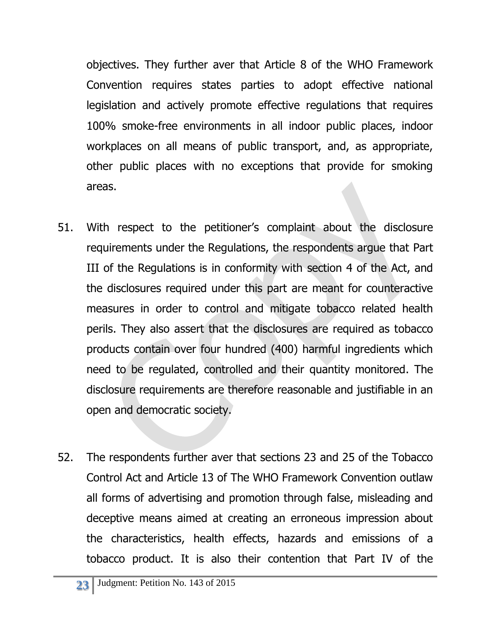objectives. They further aver that Article 8 of the WHO Framework Convention requires states parties to adopt effective national legislation and actively promote effective regulations that requires 100% smoke-free environments in all indoor public places, indoor workplaces on all means of public transport, and, as appropriate, other public places with no exceptions that provide for smoking areas.

- 51. With respect to the petitioner's complaint about the disclosure requirements under the Regulations, the respondents argue that Part III of the Regulations is in conformity with section 4 of the Act, and the disclosures required under this part are meant for counteractive measures in order to control and mitigate tobacco related health perils. They also assert that the disclosures are required as tobacco products contain over four hundred (400) harmful ingredients which need to be regulated, controlled and their quantity monitored. The disclosure requirements are therefore reasonable and justifiable in an open and democratic society.
- 52. The respondents further aver that sections 23 and 25 of the Tobacco Control Act and Article 13 of The WHO Framework Convention outlaw all forms of advertising and promotion through false, misleading and deceptive means aimed at creating an erroneous impression about the characteristics, health effects, hazards and emissions of a tobacco product. It is also their contention that Part IV of the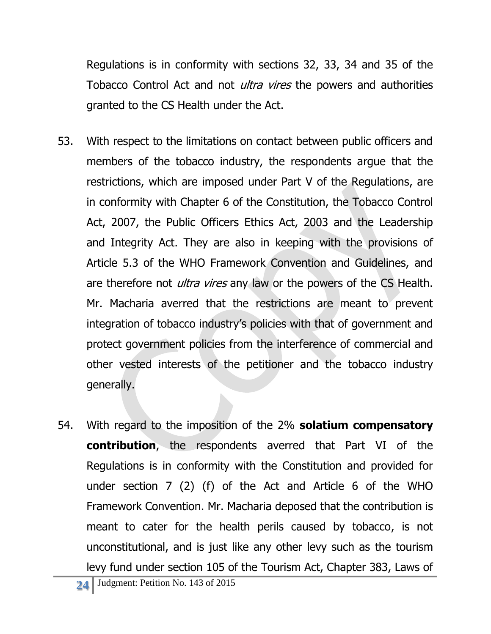Regulations is in conformity with sections 32, 33, 34 and 35 of the Tobacco Control Act and not *ultra vires* the powers and authorities granted to the CS Health under the Act.

- 53. With respect to the limitations on contact between public officers and members of the tobacco industry, the respondents argue that the restrictions, which are imposed under Part V of the Regulations, are in conformity with Chapter 6 of the Constitution, the Tobacco Control Act, 2007, the Public Officers Ethics Act, 2003 and the Leadership and Integrity Act. They are also in keeping with the provisions of Article 5.3 of the WHO Framework Convention and Guidelines, and are therefore not *ultra vires* any law or the powers of the CS Health. Mr. Macharia averred that the restrictions are meant to prevent integration of tobacco industry's policies with that of government and protect government policies from the interference of commercial and other vested interests of the petitioner and the tobacco industry generally.
- 54. With regard to the imposition of the 2% **solatium compensatory contribution**, the respondents averred that Part VI of the Regulations is in conformity with the Constitution and provided for under section 7 (2) (f) of the Act and Article 6 of the WHO Framework Convention. Mr. Macharia deposed that the contribution is meant to cater for the health perils caused by tobacco, is not unconstitutional, and is just like any other levy such as the tourism levy fund under section 105 of the Tourism Act, Chapter 383, Laws of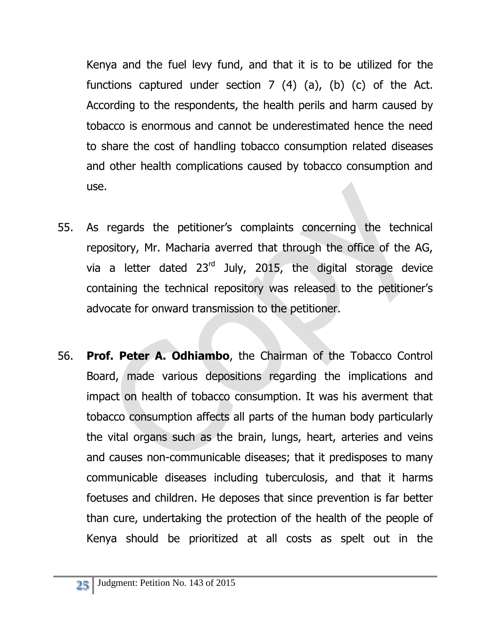Kenya and the fuel levy fund, and that it is to be utilized for the functions captured under section  $7$  (4) (a), (b) (c) of the Act. According to the respondents, the health perils and harm caused by tobacco is enormous and cannot be underestimated hence the need to share the cost of handling tobacco consumption related diseases and other health complications caused by tobacco consumption and use.

- 55. As regards the petitioner's complaints concerning the technical repository, Mr. Macharia averred that through the office of the AG, via a letter dated  $23<sup>rd</sup>$  July, 2015, the digital storage device containing the technical repository was released to the petitioner's advocate for onward transmission to the petitioner.
- 56. **Prof. Peter A. Odhiambo**, the Chairman of the Tobacco Control Board, made various depositions regarding the implications and impact on health of tobacco consumption. It was his averment that tobacco consumption affects all parts of the human body particularly the vital organs such as the brain, lungs, heart, arteries and veins and causes non-communicable diseases; that it predisposes to many communicable diseases including tuberculosis, and that it harms foetuses and children. He deposes that since prevention is far better than cure, undertaking the protection of the health of the people of Kenya should be prioritized at all costs as spelt out in the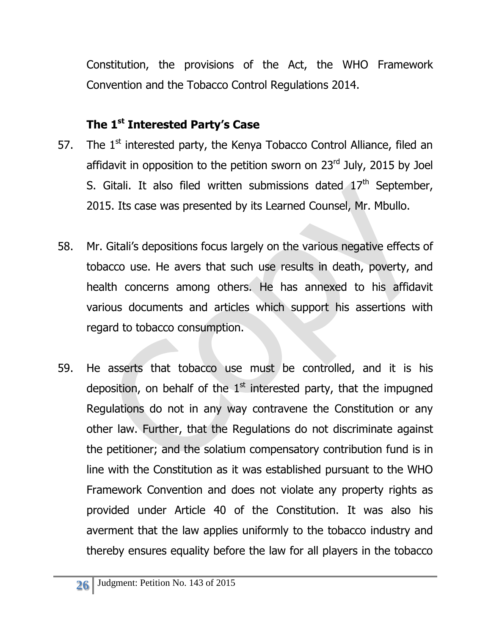Constitution, the provisions of the Act, the WHO Framework Convention and the Tobacco Control Regulations 2014.

## **The 1st Interested Party's Case**

- 57. The  $1<sup>st</sup>$  interested party, the Kenya Tobacco Control Alliance, filed an affidavit in opposition to the petition sworn on 23rd July, 2015 by Joel S. Gitali. It also filed written submissions dated  $17<sup>th</sup>$  September, 2015. Its case was presented by its Learned Counsel, Mr. Mbullo.
- 58. Mr. Gitali's depositions focus largely on the various negative effects of tobacco use. He avers that such use results in death, poverty, and health concerns among others. He has annexed to his affidavit various documents and articles which support his assertions with regard to tobacco consumption.
- 59. He asserts that tobacco use must be controlled, and it is his deposition, on behalf of the  $1<sup>st</sup>$  interested party, that the impugned Regulations do not in any way contravene the Constitution or any other law. Further, that the Regulations do not discriminate against the petitioner; and the solatium compensatory contribution fund is in line with the Constitution as it was established pursuant to the WHO Framework Convention and does not violate any property rights as provided under Article 40 of the Constitution. It was also his averment that the law applies uniformly to the tobacco industry and thereby ensures equality before the law for all players in the tobacco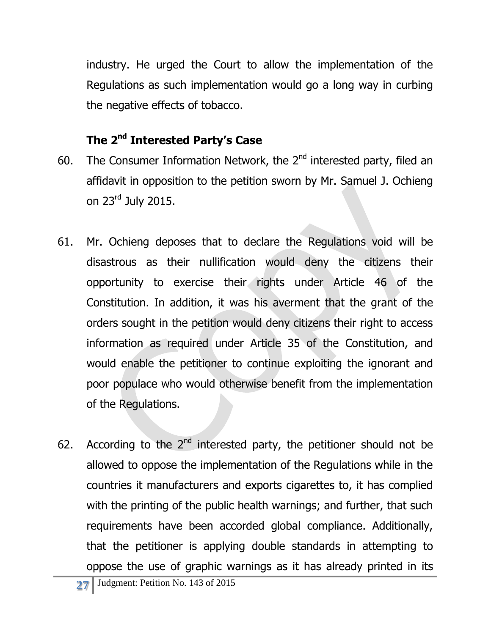industry. He urged the Court to allow the implementation of the Regulations as such implementation would go a long way in curbing the negative effects of tobacco.

# **The 2nd Interested Party's Case**

- 60. The Consumer Information Network, the  $2<sup>nd</sup>$  interested party, filed an affidavit in opposition to the petition sworn by Mr. Samuel J. Ochieng on 23rd July 2015.
- 61. Mr. Ochieng deposes that to declare the Regulations void will be disastrous as their nullification would deny the citizens their opportunity to exercise their rights under Article 46 of the Constitution. In addition, it was his averment that the grant of the orders sought in the petition would deny citizens their right to access information as required under Article 35 of the Constitution, and would enable the petitioner to continue exploiting the ignorant and poor populace who would otherwise benefit from the implementation of the Regulations.
- 62. According to the  $2^{nd}$  interested party, the petitioner should not be allowed to oppose the implementation of the Regulations while in the countries it manufacturers and exports cigarettes to, it has complied with the printing of the public health warnings; and further, that such requirements have been accorded global compliance. Additionally, that the petitioner is applying double standards in attempting to oppose the use of graphic warnings as it has already printed in its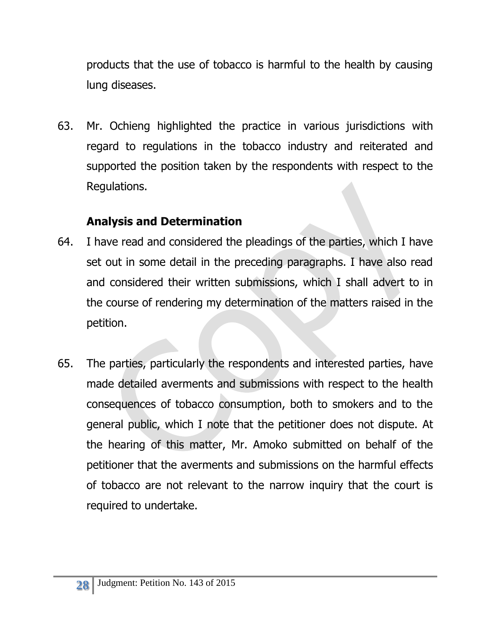products that the use of tobacco is harmful to the health by causing lung diseases.

63. Mr. Ochieng highlighted the practice in various jurisdictions with regard to regulations in the tobacco industry and reiterated and supported the position taken by the respondents with respect to the Regulations.

## **Analysis and Determination**

- 64. I have read and considered the pleadings of the parties, which I have set out in some detail in the preceding paragraphs. I have also read and considered their written submissions, which I shall advert to in the course of rendering my determination of the matters raised in the petition.
- 65. The parties, particularly the respondents and interested parties, have made detailed averments and submissions with respect to the health consequences of tobacco consumption, both to smokers and to the general public, which I note that the petitioner does not dispute. At the hearing of this matter, Mr. Amoko submitted on behalf of the petitioner that the averments and submissions on the harmful effects of tobacco are not relevant to the narrow inquiry that the court is required to undertake.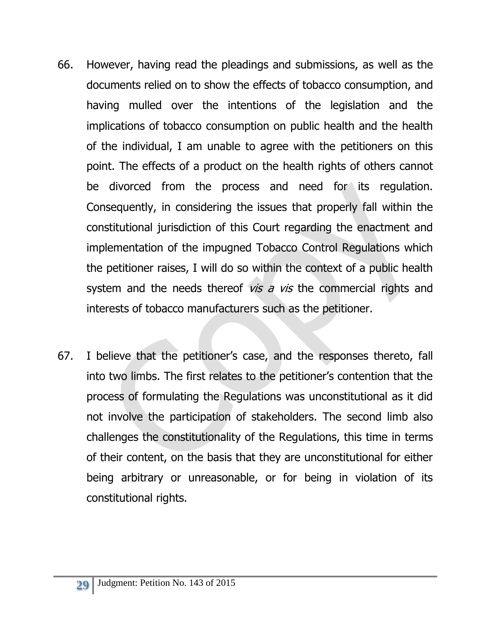- 66. However, having read the pleadings and submissions, as well as the documents relied on to show the effects of tobacco consumption, and having mulled over the intentions of the legislation and the implications of tobacco consumption on public health and the health of the individual, I am unable to agree with the petitioners on this point. The effects of a product on the health rights of others cannot be divorced from the process and need for its regulation. Consequently, in considering the issues that properly fall within the constitutional jurisdiction of this Court regarding the enactment and implementation of the impugned Tobacco Control Regulations which the petitioner raises, I will do so within the context of a public health system and the needs thereof *vis a vis* the commercial rights and interests of tobacco manufacturers such as the petitioner.
- 67. I believe that the petitioner's case, and the responses thereto, fall into two limbs. The first relates to the petitioner's contention that the process of formulating the Regulations was unconstitutional as it did not involve the participation of stakeholders. The second limb also challenges the constitutionality of the Regulations, this time in terms of their content, on the basis that they are unconstitutional for either being arbitrary or unreasonable, or for being in violation of its constitutional rights.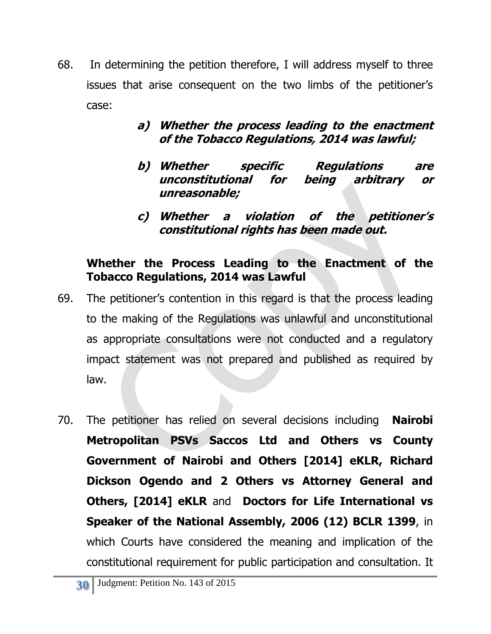68. In determining the petition therefore, I will address myself to three issues that arise consequent on the two limbs of the petitioner's case:

#### **a) Whether the process leading to the enactment of the Tobacco Regulations, 2014 was lawful;**

- **b) Whether specific Regulations are unconstitutional for being arbitrary or unreasonable;**
- **c) Whether a violation of the petitioner's constitutional rights has been made out.**

### **Whether the Process Leading to the Enactment of the Tobacco Regulations, 2014 was Lawful**

- 69. The petitioner's contention in this regard is that the process leading to the making of the Regulations was unlawful and unconstitutional as appropriate consultations were not conducted and a regulatory impact statement was not prepared and published as required by law.
- 70. The petitioner has relied on several decisions including **Nairobi Metropolitan PSVs Saccos Ltd and Others vs County Government of Nairobi and Others [2014] eKLR, Richard Dickson Ogendo and 2 Others vs Attorney General and Others, [2014] eKLR** and **Doctors for Life International vs Speaker of the National Assembly, 2006 (12) BCLR 1399**, in which Courts have considered the meaning and implication of the constitutional requirement for public participation and consultation. It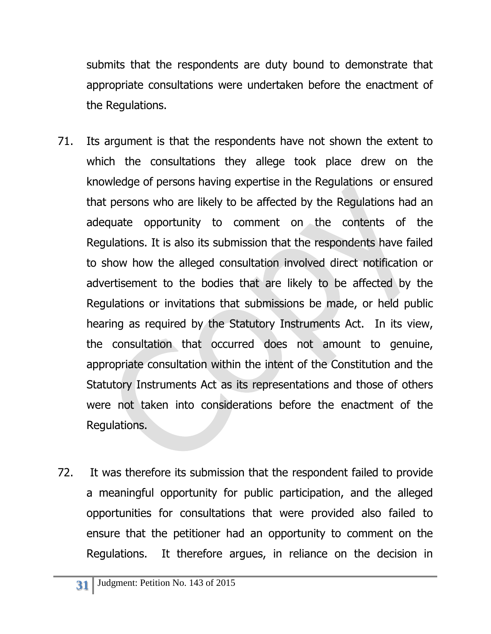submits that the respondents are duty bound to demonstrate that appropriate consultations were undertaken before the enactment of the Regulations.

- 71. Its argument is that the respondents have not shown the extent to which the consultations they allege took place drew on the knowledge of persons having expertise in the Regulations or ensured that persons who are likely to be affected by the Regulations had an adequate opportunity to comment on the contents of the Regulations. It is also its submission that the respondents have failed to show how the alleged consultation involved direct notification or advertisement to the bodies that are likely to be affected by the Regulations or invitations that submissions be made, or held public hearing as required by the Statutory Instruments Act. In its view, the consultation that occurred does not amount to genuine, appropriate consultation within the intent of the Constitution and the Statutory Instruments Act as its representations and those of others were not taken into considerations before the enactment of the Regulations.
- 72. It was therefore its submission that the respondent failed to provide a meaningful opportunity for public participation, and the alleged opportunities for consultations that were provided also failed to ensure that the petitioner had an opportunity to comment on the Regulations. It therefore argues, in reliance on the decision in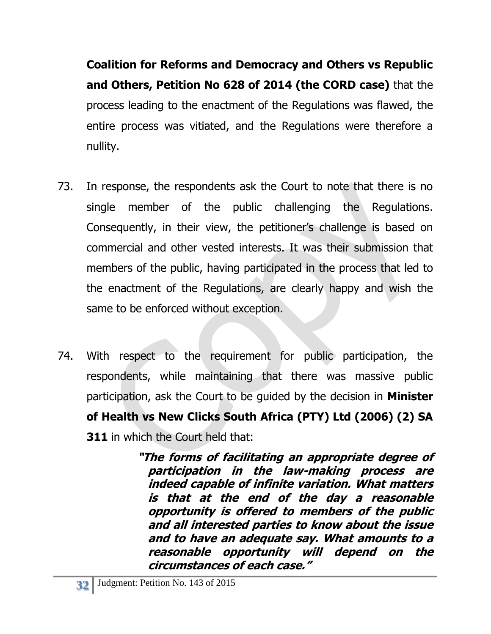**Coalition for Reforms and Democracy and Others vs Republic and Others, Petition No 628 of 2014 (the CORD case)** that the process leading to the enactment of the Regulations was flawed, the entire process was vitiated, and the Regulations were therefore a nullity.

- 73. In response, the respondents ask the Court to note that there is no single member of the public challenging the Regulations. Consequently, in their view, the petitioner's challenge is based on commercial and other vested interests. It was their submission that members of the public, having participated in the process that led to the enactment of the Regulations, are clearly happy and wish the same to be enforced without exception.
- 74. With respect to the requirement for public participation, the respondents, while maintaining that there was massive public participation, ask the Court to be guided by the decision in **Minister of Health vs New Clicks South Africa (PTY) Ltd (2006) (2) SA 311** in which the Court held that:

**"The forms of facilitating an appropriate degree of participation in the law-making process are indeed capable of infinite variation. What matters is that at the end of the day a reasonable opportunity is offered to members of the public and all interested parties to know about the issue and to have an adequate say. What amounts to a reasonable opportunity will depend on the circumstances of each case."**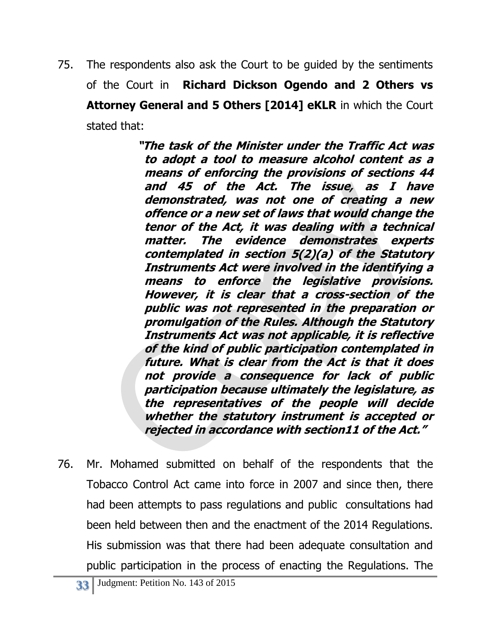75. The respondents also ask the Court to be guided by the sentiments of the Court in **Richard Dickson Ogendo and 2 Others vs Attorney General and 5 Others [2014] eKLR** in which the Court stated that:

> **"The task of the Minister under the Traffic Act was to adopt a tool to measure alcohol content as a means of enforcing the provisions of sections 44 and 45 of the Act. The issue, as I have demonstrated, was not one of creating a new offence or a new set of laws that would change the tenor of the Act, it was dealing with a technical matter. The evidence demonstrates experts contemplated in section 5(2)(a) of the Statutory Instruments Act were involved in the identifying a means to enforce the legislative provisions. However, it is clear that a cross-section of the public was not represented in the preparation or promulgation of the Rules. Although the Statutory Instruments Act was not applicable, it is reflective of the kind of public participation contemplated in future. What is clear from the Act is that it does not provide a consequence for lack of public participation because ultimately the legislature, as the representatives of the people will decide whether the statutory instrument is accepted or rejected in accordance with section11 of the Act."**

76. Mr. Mohamed submitted on behalf of the respondents that the Tobacco Control Act came into force in 2007 and since then, there had been attempts to pass regulations and public consultations had been held between then and the enactment of the 2014 Regulations. His submission was that there had been adequate consultation and public participation in the process of enacting the Regulations. The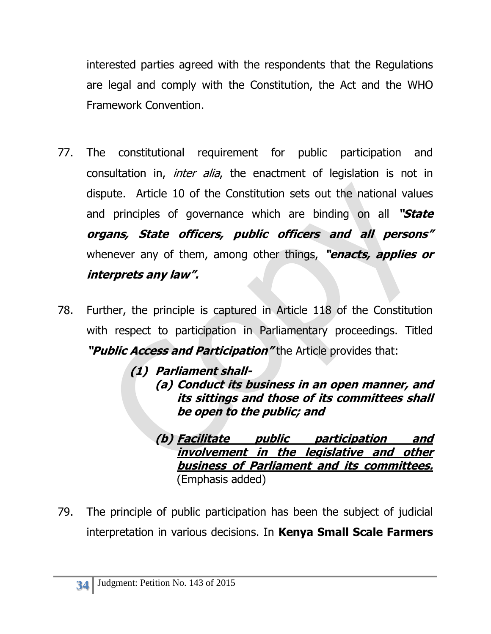interested parties agreed with the respondents that the Regulations are legal and comply with the Constitution, the Act and the WHO Framework Convention.

- 77. The constitutional requirement for public participation and consultation in, *inter alia*, the enactment of legislation is not in dispute. Article 10 of the Constitution sets out the national values and principles of governance which are binding on all **"State organs, State officers, public officers and all persons"** whenever any of them, among other things, **"enacts, applies or interprets any law".**
- 78. Further, the principle is captured in Article 118 of the Constitution with respect to participation in Parliamentary proceedings. Titled **"Public Access and Participation"** the Article provides that:

**(1) Parliament shall- (a) Conduct its business in an open manner, and its sittings and those of its committees shall be open to the public; and**

**(b) Facilitate public participation and involvement in the legislative and other business of Parliament and its committees.** (Emphasis added)

79. The principle of public participation has been the subject of judicial interpretation in various decisions. In **Kenya Small Scale Farmers**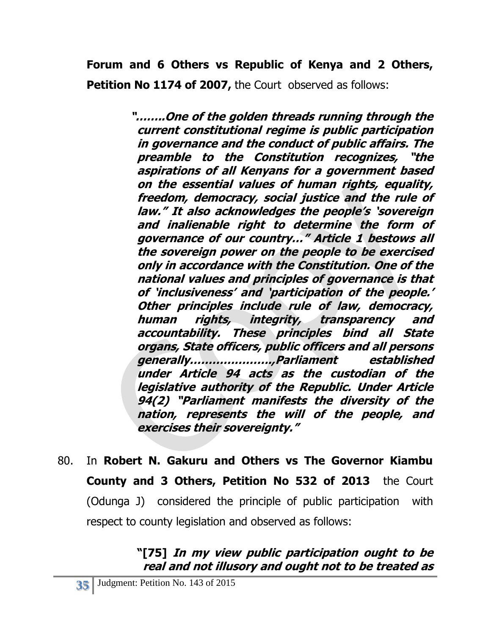**Forum and 6 Others vs Republic of Kenya and 2 Others, Petition No 1174 of 2007, the Court observed as follows:** 

> **"……..One of the golden threads running through the current constitutional regime is public participation in governance and the conduct of public affairs. The preamble to the Constitution recognizes, "the aspirations of all Kenyans for a government based on the essential values of human rights, equality, freedom, democracy, social justice and the rule of law." It also acknowledges the people's 'sovereign and inalienable right to determine the form of governance of our country…" Article 1 bestows all the sovereign power on the people to be exercised only in accordance with the Constitution. One of the national values and principles of governance is that of 'inclusiveness' and 'participation of the people.' Other principles include rule of law, democracy, human rights, integrity, transparency and accountability. These principles bind all State organs, State officers, public officers and all persons generally………………….,Parliament established under Article 94 acts as the custodian of the legislative authority of the Republic. Under Article 94(2) "Parliament manifests the diversity of the nation, represents the will of the people, and exercises their sovereignty."**

80. In **Robert N. Gakuru and Others vs The Governor Kiambu County and 3 Others, Petition No 532 of 2013** the Court (Odunga J) considered the principle of public participation with respect to county legislation and observed as follows:

# **"[75] In my view public participation ought to be real and not illusory and ought not to be treated as**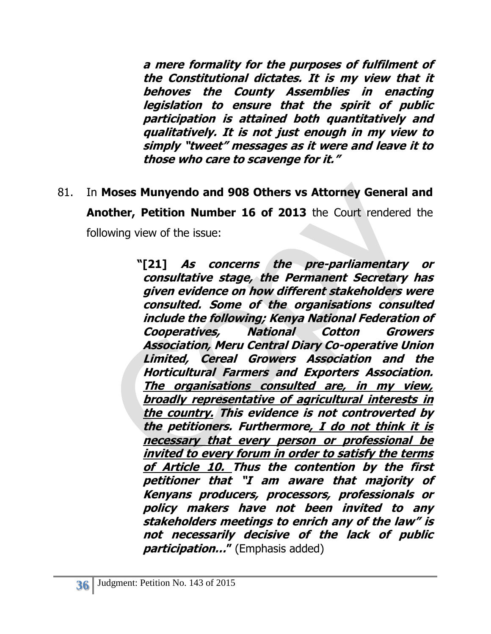**a mere formality for the purposes of fulfilment of the Constitutional dictates. It is my view that it behoves the County Assemblies in enacting legislation to ensure that the spirit of public participation is attained both quantitatively and qualitatively. It is not just enough in my view to simply "tweet" messages as it were and leave it to those who care to scavenge for it."**

81. In **Moses Munyendo and 908 Others vs Attorney General and Another, Petition Number 16 of 2013** the Court rendered the following view of the issue:

> **"[21] As concerns the pre-parliamentary or consultative stage, the Permanent Secretary has given evidence on how different stakeholders were consulted. Some of the organisations consulted include the following; Kenya National Federation of Cooperatives, National Cotton Growers Association, Meru Central Diary Co-operative Union Limited, Cereal Growers Association and the Horticultural Farmers and Exporters Association. The organisations consulted are, in my view, broadly representative of agricultural interests in the country. This evidence is not controverted by the petitioners. Furthermore, I do not think it is necessary that every person or professional be invited to every forum in order to satisfy the terms of Article 10. Thus the contention by the first petitioner that "I am aware that majority of Kenyans producers, processors, professionals or policy makers have not been invited to any stakeholders meetings to enrich any of the law" is not necessarily decisive of the lack of public participation…"** (Emphasis added)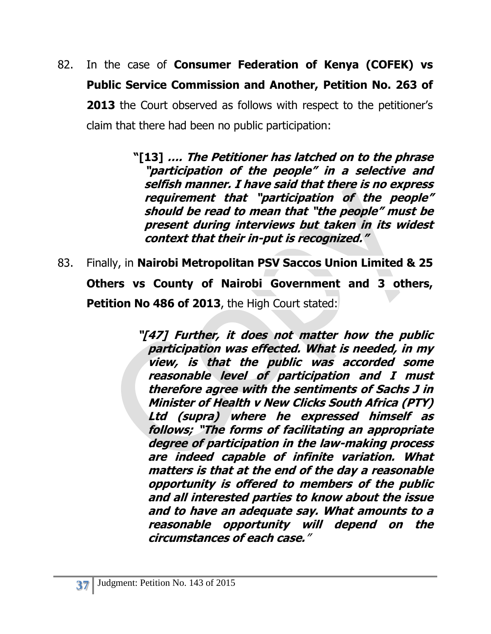82. In the case of **Consumer Federation of Kenya (COFEK) vs Public Service Commission and Another, Petition No. 263 of 2013** the Court observed as follows with respect to the petitioner's claim that there had been no public participation:

> **"[13] …. The Petitioner has latched on to the phrase "participation of the people" in a selective and selfish manner. I have said that there is no express requirement that "participation of the people" should be read to mean that "the people" must be present during interviews but taken in its widest context that their in-put is recognized."**

83. Finally, in **Nairobi Metropolitan PSV Saccos Union Limited & 25 Others vs County of Nairobi Government and 3 others, Petition No 486 of 2013**, the High Court stated:

> **"[47] Further, it does not matter how the public participation was effected. What is needed, in my view, is that the public was accorded some reasonable level of participation and I must therefore agree with the sentiments of Sachs J in Minister of Health v New Clicks South Africa (PTY) Ltd (supra) where he expressed himself as follows; "The forms of facilitating an appropriate degree of participation in the law-making process are indeed capable of infinite variation. What matters is that at the end of the day a reasonable opportunity is offered to members of the public and all interested parties to know about the issue and to have an adequate say. What amounts to a reasonable opportunity will depend on the circumstances of each case.**"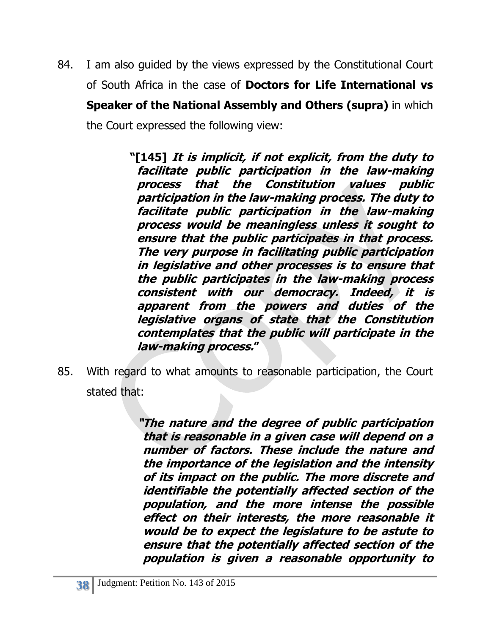84. I am also guided by the views expressed by the Constitutional Court of South Africa in the case of **Doctors for Life International vs Speaker of the National Assembly and Others (supra)** in which the Court expressed the following view:

> **"[145] It is implicit, if not explicit, from the duty to facilitate public participation in the law-making process that the Constitution values public participation in the law-making process. The duty to facilitate public participation in the law-making process would be meaningless unless it sought to ensure that the public participates in that process. The very purpose in facilitating public participation in legislative and other processes is to ensure that the public participates in the law-making process consistent with our democracy. Indeed, it is apparent from the powers and duties of the legislative organs of state that the Constitution contemplates that the public will participate in the law-making process."**

85. With regard to what amounts to reasonable participation, the Court stated that:

> **"The nature and the degree of public participation that is reasonable in a given case will depend on a number of factors. These include the nature and the importance of the legislation and the intensity of its impact on the public. The more discrete and identifiable the potentially affected section of the population, and the more intense the possible effect on their interests, the more reasonable it would be to expect the legislature to be astute to ensure that the potentially affected section of the population is given a reasonable opportunity to**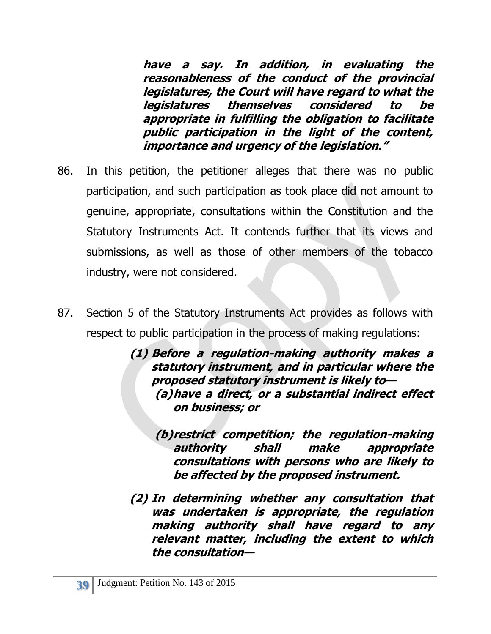**have a say. In addition, in evaluating the reasonableness of the conduct of the provincial legislatures, the Court will have regard to what the legislatures themselves considered to be appropriate in fulfilling the obligation to facilitate public participation in the light of the content, importance and urgency of the legislation."**

- 86. In this petition, the petitioner alleges that there was no public participation, and such participation as took place did not amount to genuine, appropriate, consultations within the Constitution and the Statutory Instruments Act. It contends further that its views and submissions, as well as those of other members of the tobacco industry, were not considered.
- 87. Section 5 of the Statutory Instruments Act provides as follows with respect to public participation in the process of making regulations:

**(1) Before a regulation-making authority makes a statutory instrument, and in particular where the proposed statutory instrument is likely to— (a)have a direct, or a substantial indirect effect on business; or**

**(b)restrict competition; the regulation-making authority shall make appropriate consultations with persons who are likely to be affected by the proposed instrument.**

**(2) In determining whether any consultation that was undertaken is appropriate, the regulation making authority shall have regard to any relevant matter, including the extent to which the consultation—**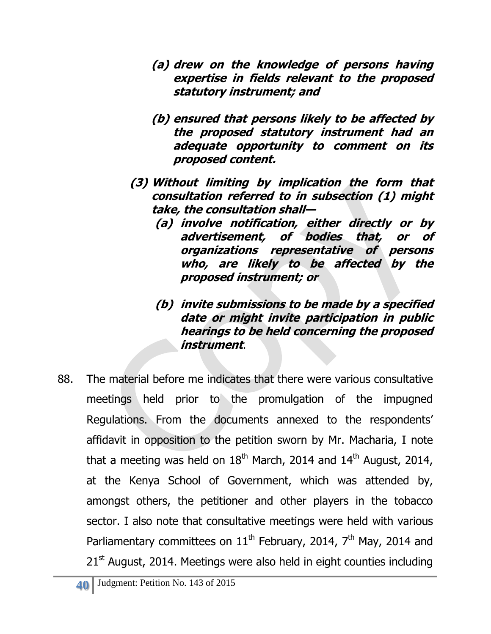- **(a) drew on the knowledge of persons having expertise in fields relevant to the proposed statutory instrument; and**
- **(b) ensured that persons likely to be affected by the proposed statutory instrument had an adequate opportunity to comment on its proposed content.**
- **(3) Without limiting by implication the form that consultation referred to in subsection (1) might take, the consultation shall—**
	- **(a) involve notification, either directly or by advertisement, of bodies that, or of organizations representative of persons who, are likely to be affected by the proposed instrument; or**
	- **(b) invite submissions to be made by a specified date or might invite participation in public hearings to be held concerning the proposed instrument**.
- 88. The material before me indicates that there were various consultative meetings held prior to the promulgation of the impugned Regulations. From the documents annexed to the respondents' affidavit in opposition to the petition sworn by Mr. Macharia, I note that a meeting was held on  $18<sup>th</sup>$  March, 2014 and  $14<sup>th</sup>$  August, 2014, at the Kenya School of Government, which was attended by, amongst others, the petitioner and other players in the tobacco sector. I also note that consultative meetings were held with various Parliamentary committees on  $11<sup>th</sup>$  February, 2014, 7<sup>th</sup> May, 2014 and  $21<sup>st</sup>$  August, 2014. Meetings were also held in eight counties including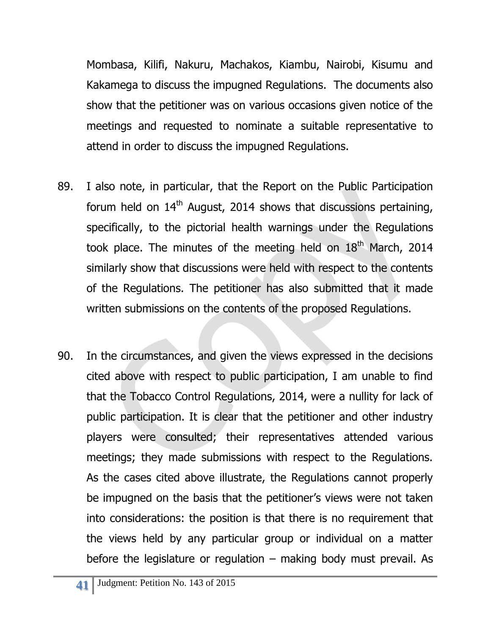Mombasa, Kilifi, Nakuru, Machakos, Kiambu, Nairobi, Kisumu and Kakamega to discuss the impugned Regulations. The documents also show that the petitioner was on various occasions given notice of the meetings and requested to nominate a suitable representative to attend in order to discuss the impugned Regulations.

- 89. I also note, in particular, that the Report on the Public Participation forum held on  $14<sup>th</sup>$  August, 2014 shows that discussions pertaining, specifically, to the pictorial health warnings under the Regulations took place. The minutes of the meeting held on  $18<sup>th</sup>$  March, 2014 similarly show that discussions were held with respect to the contents of the Regulations. The petitioner has also submitted that it made written submissions on the contents of the proposed Regulations.
- 90. In the circumstances, and given the views expressed in the decisions cited above with respect to public participation, I am unable to find that the Tobacco Control Regulations, 2014, were a nullity for lack of public participation. It is clear that the petitioner and other industry players were consulted; their representatives attended various meetings; they made submissions with respect to the Regulations. As the cases cited above illustrate, the Regulations cannot properly be impugned on the basis that the petitioner's views were not taken into considerations: the position is that there is no requirement that the views held by any particular group or individual on a matter before the legislature or regulation  $-$  making body must prevail. As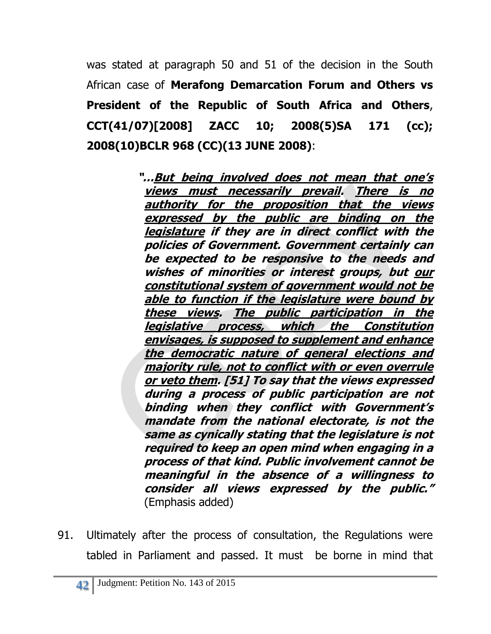was stated at paragraph 50 and 51 of the decision in the South African case of **Merafong Demarcation Forum and Others vs President of the Republic of South Africa and Others**, **CCT(41/07)[2008] ZACC 10; 2008(5)SA 171 (cc); 2008(10)BCLR 968 (CC)(13 JUNE 2008)**:

> **"…But being involved does not mean that one's views must necessarily prevail. There is no authority for the proposition that the views expressed by the public are binding on the legislature if they are in direct conflict with the policies of Government. Government certainly can be expected to be responsive to the needs and wishes of minorities or interest groups, but our constitutional system of government would not be able to function if the legislature were bound by these views. The public participation in the legislative process, which the Constitution envisages, is supposed to supplement and enhance the democratic nature of general elections and majority rule, not to conflict with or even overrule or veto them. [51] To say that the views expressed during a process of public participation are not binding when they conflict with Government's mandate from the national electorate, is not the same as cynically stating that the legislature is not required to keep an open mind when engaging in a process of that kind. Public involvement cannot be meaningful in the absence of a willingness to consider all views expressed by the public."** (Emphasis added)

91. Ultimately after the process of consultation, the Regulations were tabled in Parliament and passed. It must be borne in mind that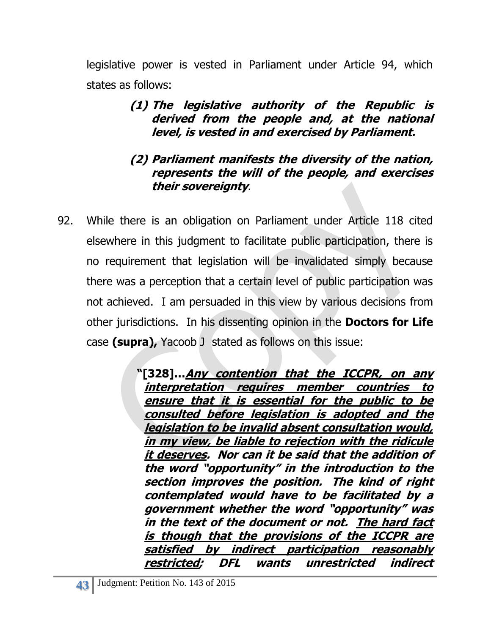legislative power is vested in Parliament under Article 94, which states as follows:

> **(1) The legislative authority of the Republic is derived from the people and, at the national level, is vested in and exercised by Parliament.**

#### **(2) Parliament manifests the diversity of the nation, represents the will of the people, and exercises their sovereignty**.

92. While there is an obligation on Parliament under Article 118 cited elsewhere in this judgment to facilitate public participation, there is no requirement that legislation will be invalidated simply because there was a perception that a certain level of public participation was not achieved. I am persuaded in this view by various decisions from other jurisdictions. In his dissenting opinion in the **Doctors for Life**  case **(supra),** Yacoob J stated as follows on this issue:

> **"[328]…Any contention that the ICCPR, on any interpretation requires member countries to ensure that it is essential for the public to be consulted before legislation is adopted and the legislation to be invalid absent consultation would, in my view, be liable to rejection with the ridicule it deserves. Nor can it be said that the addition of the word "opportunity" in the introduction to the section improves the position. The kind of right contemplated would have to be facilitated by a government whether the word "opportunity" was in the text of the document or not. The hard fact is though that the provisions of the ICCPR are satisfied by indirect participation reasonably restricted; DFL wants unrestricted indirect**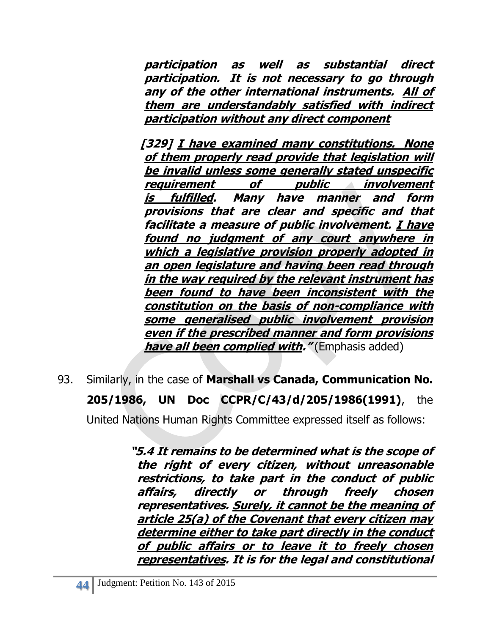**participation as well as substantial direct participation. It is not necessary to go through any of the other international instruments. All of them are understandably satisfied with indirect participation without any direct component**

**[329] I have examined many constitutions. None of them properly read provide that legislation will be invalid unless some generally stated unspecific requirement of public involvement is fulfilled. Many have manner and form provisions that are clear and specific and that facilitate a measure of public involvement. I have found no judgment of any court anywhere in which a legislative provision properly adopted in an open legislature and having been read through in the way required by the relevant instrument has been found to have been inconsistent with the constitution on the basis of non-compliance with some generalised public involvement provision even if the prescribed manner and form provisions have all been complied with."** (Emphasis added)

93. Similarly, in the case of **Marshall vs Canada, Communication No. 205/1986, UN Doc CCPR/C/43/d/205/1986(1991)**, the United Nations Human Rights Committee expressed itself as follows:

> **"5.4 It remains to be determined what is the scope of the right of every citizen, without unreasonable restrictions, to take part in the conduct of public affairs, directly or through freely chosen representatives. Surely, it cannot be the meaning of article 25(a) of the Covenant that every citizen may determine either to take part directly in the conduct of public affairs or to leave it to freely chosen representatives. It is for the legal and constitutional**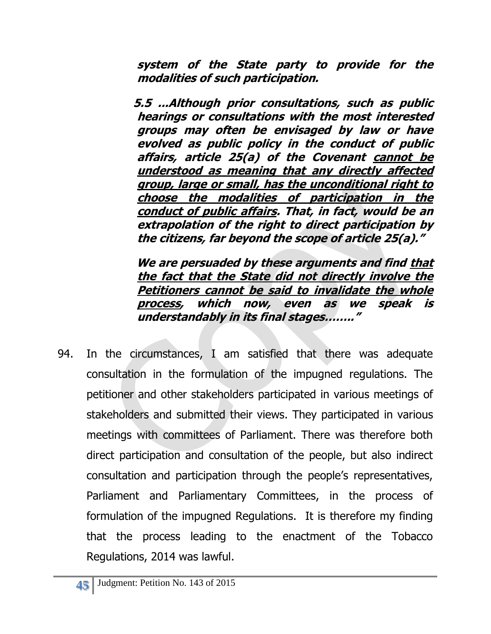**system of the State party to provide for the modalities of such participation.**

**5.5 ...Although prior consultations, such as public hearings or consultations with the most interested groups may often be envisaged by law or have evolved as public policy in the conduct of public affairs, article 25(a) of the Covenant cannot be understood as meaning that any directly affected group, large or small, has the unconditional right to choose the modalities of participation in the conduct of public affairs. That, in fact, would be an extrapolation of the right to direct participation by the citizens, far beyond the scope of article 25(a)."**

 **We are persuaded by these arguments and find that the fact that the State did not directly involve the Petitioners cannot be said to invalidate the whole process, which now, even as we speak is understandably in its final stages…….."**

94. In the circumstances, I am satisfied that there was adequate consultation in the formulation of the impugned regulations. The petitioner and other stakeholders participated in various meetings of stakeholders and submitted their views. They participated in various meetings with committees of Parliament. There was therefore both direct participation and consultation of the people, but also indirect consultation and participation through the people's representatives, Parliament and Parliamentary Committees, in the process of formulation of the impugned Regulations. It is therefore my finding that the process leading to the enactment of the Tobacco Regulations, 2014 was lawful.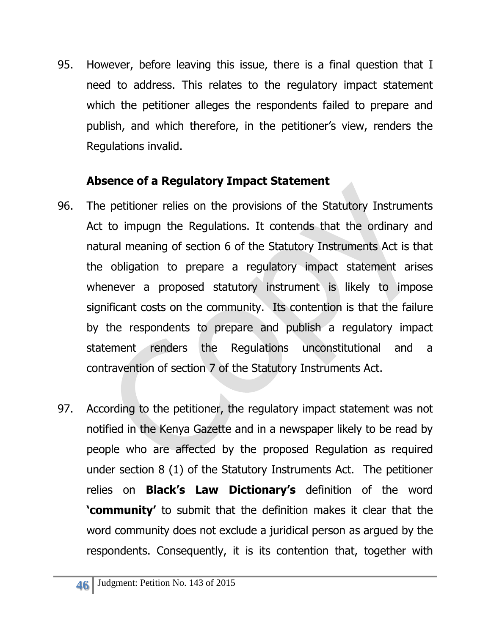95. However, before leaving this issue, there is a final question that I need to address. This relates to the regulatory impact statement which the petitioner alleges the respondents failed to prepare and publish, and which therefore, in the petitioner's view, renders the Regulations invalid.

# **Absence of a Regulatory Impact Statement**

- 96. The petitioner relies on the provisions of the Statutory Instruments Act to impugn the Regulations. It contends that the ordinary and natural meaning of section 6 of the Statutory Instruments Act is that the obligation to prepare a regulatory impact statement arises whenever a proposed statutory instrument is likely to impose significant costs on the community. Its contention is that the failure by the respondents to prepare and publish a regulatory impact statement renders the Regulations unconstitutional and a contravention of section 7 of the Statutory Instruments Act.
- 97. According to the petitioner, the regulatory impact statement was not notified in the Kenya Gazette and in a newspaper likely to be read by people who are affected by the proposed Regulation as required under section 8 (1) of the Statutory Instruments Act. The petitioner relies on **Black's Law Dictionary's** definition of the word **'community'** to submit that the definition makes it clear that the word community does not exclude a juridical person as argued by the respondents. Consequently, it is its contention that, together with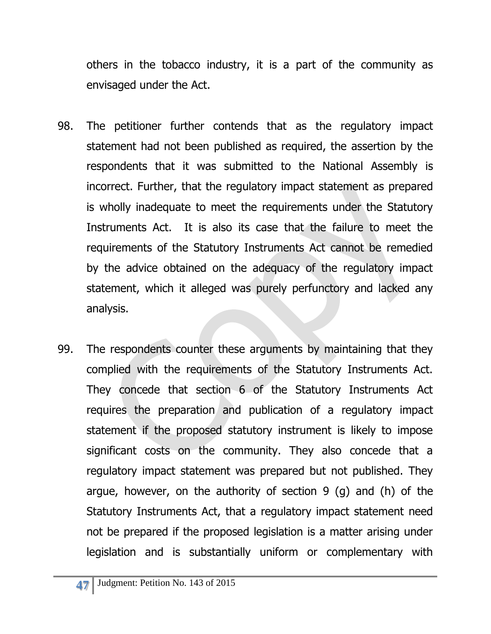others in the tobacco industry, it is a part of the community as envisaged under the Act.

- 98. The petitioner further contends that as the regulatory impact statement had not been published as required, the assertion by the respondents that it was submitted to the National Assembly is incorrect. Further, that the regulatory impact statement as prepared is wholly inadequate to meet the requirements under the Statutory Instruments Act. It is also its case that the failure to meet the requirements of the Statutory Instruments Act cannot be remedied by the advice obtained on the adequacy of the regulatory impact statement, which it alleged was purely perfunctory and lacked any analysis.
- 99. The respondents counter these arguments by maintaining that they complied with the requirements of the Statutory Instruments Act. They concede that section 6 of the Statutory Instruments Act requires the preparation and publication of a regulatory impact statement if the proposed statutory instrument is likely to impose significant costs on the community. They also concede that a regulatory impact statement was prepared but not published. They argue, however, on the authority of section  $9$  (q) and (h) of the Statutory Instruments Act, that a regulatory impact statement need not be prepared if the proposed legislation is a matter arising under legislation and is substantially uniform or complementary with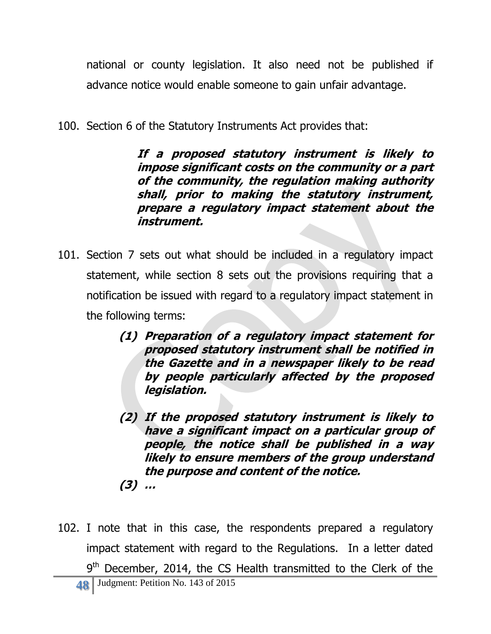national or county legislation. It also need not be published if advance notice would enable someone to gain unfair advantage.

100. Section 6 of the Statutory Instruments Act provides that:

**If a proposed statutory instrument is likely to impose significant costs on the community or a part of the community, the regulation making authority shall, prior to making the statutory instrument, prepare a regulatory impact statement about the instrument.**

- 101. Section 7 sets out what should be included in a regulatory impact statement, while section 8 sets out the provisions requiring that a notification be issued with regard to a regulatory impact statement in the following terms:
	- **(1) Preparation of a regulatory impact statement for proposed statutory instrument shall be notified in the Gazette and in a newspaper likely to be read by people particularly affected by the proposed legislation.**
	- **(2) If the proposed statutory instrument is likely to have a significant impact on a particular group of people, the notice shall be published in a way likely to ensure members of the group understand the purpose and content of the notice. (3) …**
- 102. I note that in this case, the respondents prepared a regulatory impact statement with regard to the Regulations. In a letter dated 9<sup>th</sup> December, 2014, the CS Health transmitted to the Clerk of the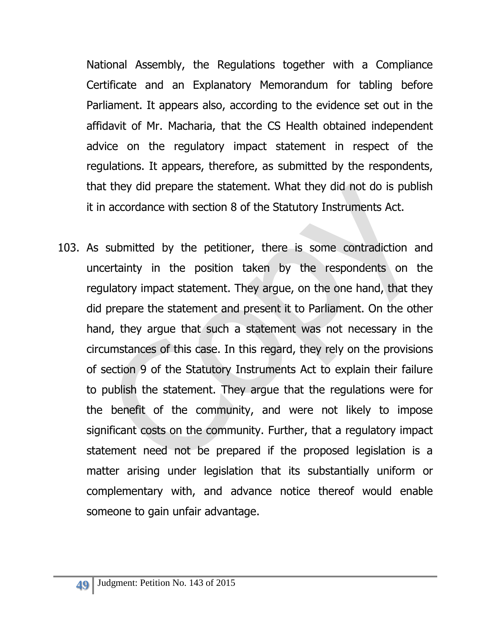National Assembly, the Regulations together with a Compliance Certificate and an Explanatory Memorandum for tabling before Parliament. It appears also, according to the evidence set out in the affidavit of Mr. Macharia, that the CS Health obtained independent advice on the regulatory impact statement in respect of the regulations. It appears, therefore, as submitted by the respondents, that they did prepare the statement. What they did not do is publish it in accordance with section 8 of the Statutory Instruments Act.

103. As submitted by the petitioner, there is some contradiction and uncertainty in the position taken by the respondents on the regulatory impact statement. They argue, on the one hand, that they did prepare the statement and present it to Parliament. On the other hand, they argue that such a statement was not necessary in the circumstances of this case. In this regard, they rely on the provisions of section 9 of the Statutory Instruments Act to explain their failure to publish the statement. They argue that the regulations were for the benefit of the community, and were not likely to impose significant costs on the community. Further, that a regulatory impact statement need not be prepared if the proposed legislation is a matter arising under legislation that its substantially uniform or complementary with, and advance notice thereof would enable someone to gain unfair advantage.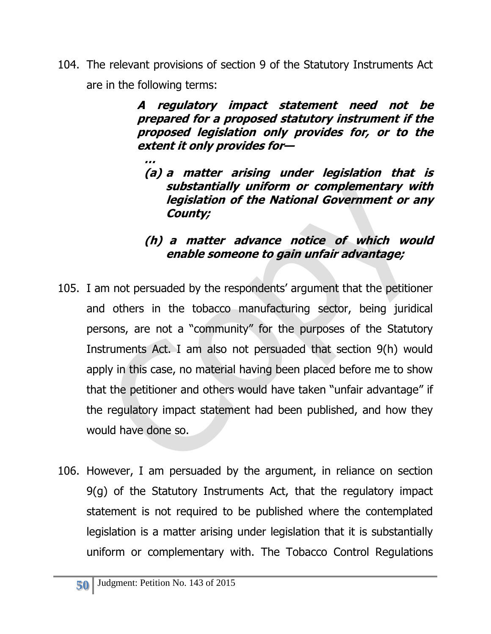104. The relevant provisions of section 9 of the Statutory Instruments Act are in the following terms:

> **A regulatory impact statement need not be prepared for a proposed statutory instrument if the proposed legislation only provides for, or to the extent it only provides for—**

**… (a) a matter arising under legislation that is substantially uniform or complementary with legislation of the National Government or any County;**

#### **(h) a matter advance notice of which would enable someone to gain unfair advantage;**

- 105. I am not persuaded by the respondents' argument that the petitioner and others in the tobacco manufacturing sector, being juridical persons, are not a "community" for the purposes of the Statutory Instruments Act. I am also not persuaded that section 9(h) would apply in this case, no material having been placed before me to show that the petitioner and others would have taken "unfair advantage" if the regulatory impact statement had been published, and how they would have done so.
- 106. However, I am persuaded by the argument, in reliance on section 9(g) of the Statutory Instruments Act, that the regulatory impact statement is not required to be published where the contemplated legislation is a matter arising under legislation that it is substantially uniform or complementary with. The Tobacco Control Regulations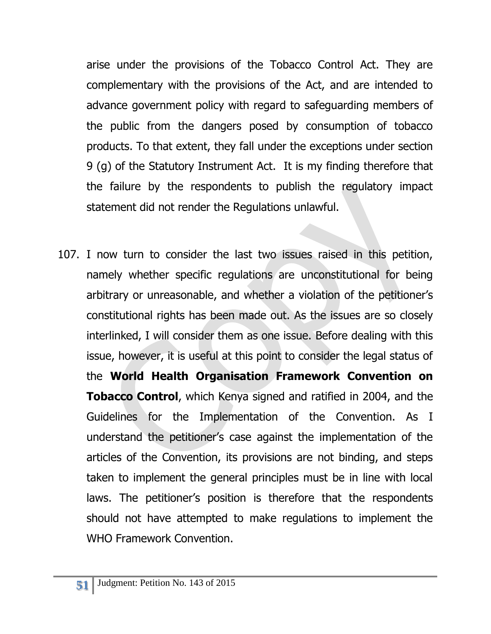arise under the provisions of the Tobacco Control Act. They are complementary with the provisions of the Act, and are intended to advance government policy with regard to safeguarding members of the public from the dangers posed by consumption of tobacco products. To that extent, they fall under the exceptions under section 9 (g) of the Statutory Instrument Act. It is my finding therefore that the failure by the respondents to publish the regulatory impact statement did not render the Regulations unlawful.

107. I now turn to consider the last two issues raised in this petition, namely whether specific regulations are unconstitutional for being arbitrary or unreasonable, and whether a violation of the petitioner's constitutional rights has been made out. As the issues are so closely interlinked, I will consider them as one issue. Before dealing with this issue, however, it is useful at this point to consider the legal status of the **World Health Organisation Framework Convention on Tobacco Control**, which Kenya signed and ratified in 2004, and the Guidelines for the Implementation of the Convention. As I understand the petitioner's case against the implementation of the articles of the Convention, its provisions are not binding, and steps taken to implement the general principles must be in line with local laws. The petitioner's position is therefore that the respondents should not have attempted to make regulations to implement the WHO Framework Convention.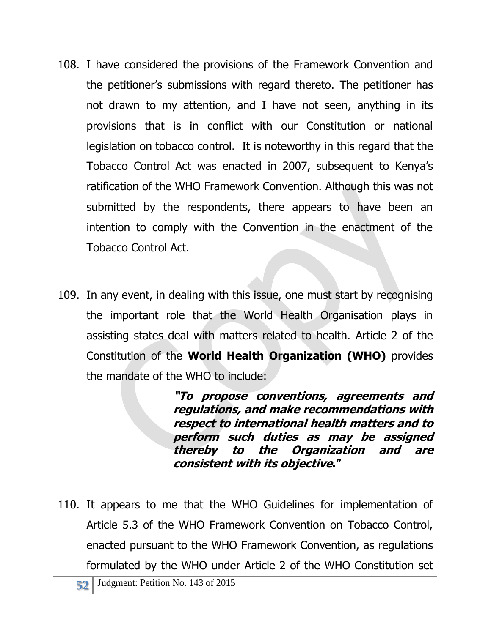- 108. I have considered the provisions of the Framework Convention and the petitioner's submissions with regard thereto. The petitioner has not drawn to my attention, and I have not seen, anything in its provisions that is in conflict with our Constitution or national legislation on tobacco control. It is noteworthy in this regard that the Tobacco Control Act was enacted in 2007, subsequent to Kenya's ratification of the WHO Framework Convention. Although this was not submitted by the respondents, there appears to have been an intention to comply with the Convention in the enactment of the Tobacco Control Act.
- 109. In any event, in dealing with this issue, one must start by recognising the important role that the World Health Organisation plays in assisting states deal with matters related to health. Article 2 of the Constitution of the **World Health Organization (WHO)** provides the mandate of the WHO to include:

**"To propose conventions, agreements and regulations, and make recommendations with respect to international health matters and to perform such duties as may be assigned thereby to the Organization and are consistent with its objective."**

110. It appears to me that the WHO Guidelines for implementation of Article 5.3 of the WHO Framework Convention on Tobacco Control, enacted pursuant to the WHO Framework Convention, as regulations formulated by the WHO under Article 2 of the WHO Constitution set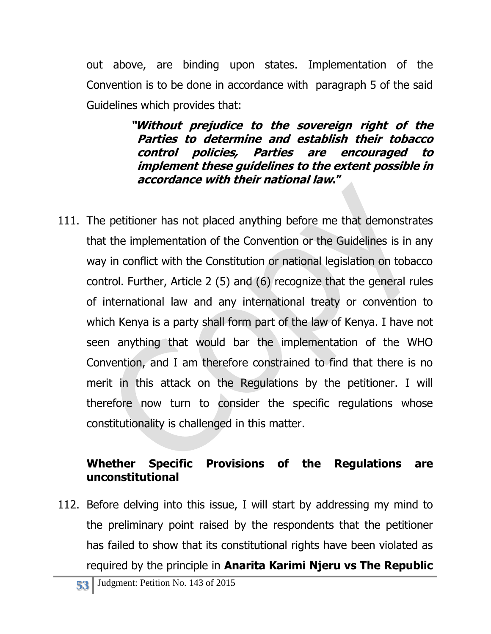out above, are binding upon states. Implementation of the Convention is to be done in accordance with paragraph 5 of the said Guidelines which provides that:

> **"Without prejudice to the sovereign right of the Parties to determine and establish their tobacco control policies, Parties are encouraged to implement these guidelines to the extent possible in accordance with their national law."**

111. The petitioner has not placed anything before me that demonstrates that the implementation of the Convention or the Guidelines is in any way in conflict with the Constitution or national legislation on tobacco control. Further, Article 2 (5) and (6) recognize that the general rules of international law and any international treaty or convention to which Kenya is a party shall form part of the law of Kenya. I have not seen anything that would bar the implementation of the WHO Convention, and I am therefore constrained to find that there is no merit in this attack on the Regulations by the petitioner. I will therefore now turn to consider the specific regulations whose constitutionality is challenged in this matter.

## **Whether Specific Provisions of the Regulations are unconstitutional**

112. Before delving into this issue, I will start by addressing my mind to the preliminary point raised by the respondents that the petitioner has failed to show that its constitutional rights have been violated as required by the principle in **Anarita Karimi Njeru vs The Republic**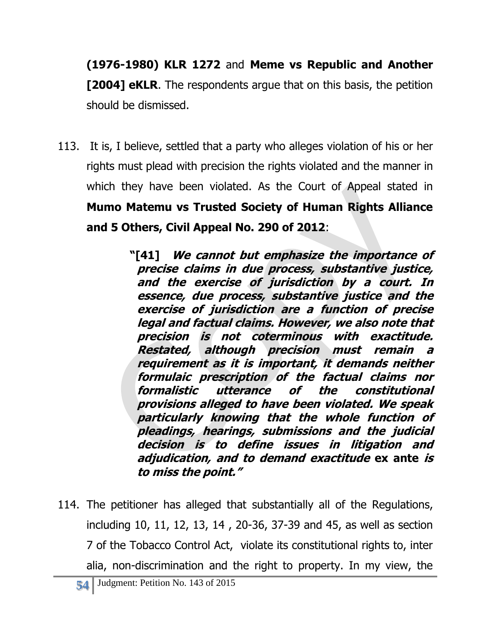**(1976-1980) KLR 1272** and **Meme vs Republic and Another [2004] eKLR**. The respondents argue that on this basis, the petition should be dismissed.

113. It is, I believe, settled that a party who alleges violation of his or her rights must plead with precision the rights violated and the manner in which they have been violated. As the Court of Appeal stated in **Mumo Matemu vs Trusted Society of Human Rights Alliance and 5 Others, Civil Appeal No. 290 of 2012**:

> **"[41] We cannot but emphasize the importance of precise claims in due process, substantive justice, and the exercise of jurisdiction by a court. In essence, due process, substantive justice and the exercise of jurisdiction are a function of precise legal and factual claims. However, we also note that precision is not coterminous with exactitude. Restated, although precision must remain <sup>a</sup> requirement as it is important, it demands neither formulaic prescription of the factual claims nor formalistic utterance of the constitutional provisions alleged to have been violated. We speak particularly knowing that the whole function of pleadings, hearings, submissions and the judicial decision is to define issues in litigation and adjudication, and to demand exactitude ex ante is to miss the point."**

114. The petitioner has alleged that substantially all of the Regulations, including 10, 11, 12, 13, 14 , 20-36, 37-39 and 45, as well as section 7 of the Tobacco Control Act, violate its constitutional rights to, inter alia, non-discrimination and the right to property. In my view, the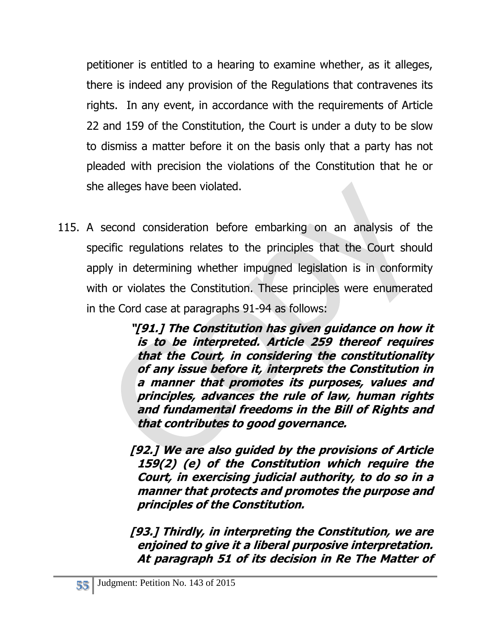petitioner is entitled to a hearing to examine whether, as it alleges, there is indeed any provision of the Regulations that contravenes its rights. In any event, in accordance with the requirements of Article 22 and 159 of the Constitution, the Court is under a duty to be slow to dismiss a matter before it on the basis only that a party has not pleaded with precision the violations of the Constitution that he or she alleges have been violated.

115. A second consideration before embarking on an analysis of the specific regulations relates to the principles that the Court should apply in determining whether impugned legislation is in conformity with or violates the Constitution. These principles were enumerated in the Cord case at paragraphs 91-94 as follows:

> **"[91.] The Constitution has given guidance on how it is to be interpreted. Article 259 thereof requires that the Court, in considering the constitutionality of any issue before it, interprets the Constitution in a manner that promotes its purposes, values and principles, advances the rule of law, human rights and fundamental freedoms in the Bill of Rights and that contributes to good governance.**

- **[92.] We are also guided by the provisions of Article 159(2) (e) of the Constitution which require the Court, in exercising judicial authority, to do so in a manner that protects and promotes the purpose and principles of the Constitution.**
- **[93.] Thirdly, in interpreting the Constitution, we are enjoined to give it a liberal purposive interpretation. At paragraph 51 of its decision in Re The Matter of**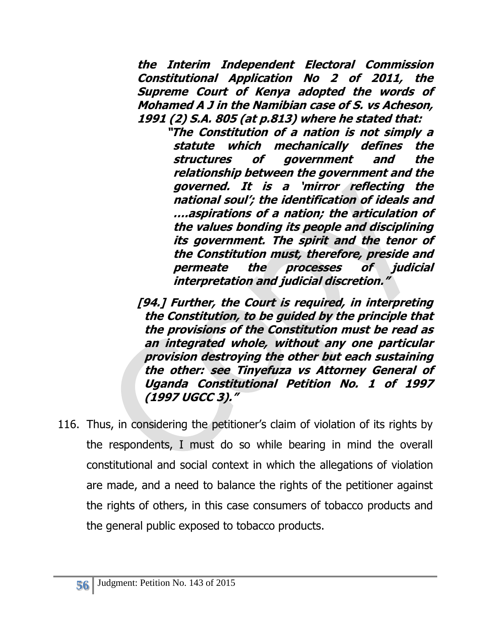**the Interim Independent Electoral Commission Constitutional Application No 2 of 2011, the Supreme Court of Kenya adopted the words of Mohamed A J in the Namibian case of S. vs Acheson, 1991 (2) S.A. 805 (at p.813) where he stated that:**

**"The Constitution of a nation is not simply a statute which mechanically defines the structures of government and the relationship between the government and the governed. It is a 'mirror reflecting the national soul'; the identification of ideals and ….aspirations of a nation; the articulation of the values bonding its people and disciplining its government. The spirit and the tenor of the Constitution must, therefore, preside and permeate the processes of judicial interpretation and judicial discretion."**

**[94.] Further, the Court is required, in interpreting the Constitution, to be guided by the principle that the provisions of the Constitution must be read as an integrated whole, without any one particular provision destroying the other but each sustaining the other: see Tinyefuza vs Attorney General of Uganda Constitutional Petition No. 1 of 1997 (1997 UGCC 3)."**

116. Thus, in considering the petitioner's claim of violation of its rights by the respondents, I must do so while bearing in mind the overall constitutional and social context in which the allegations of violation are made, and a need to balance the rights of the petitioner against the rights of others, in this case consumers of tobacco products and the general public exposed to tobacco products.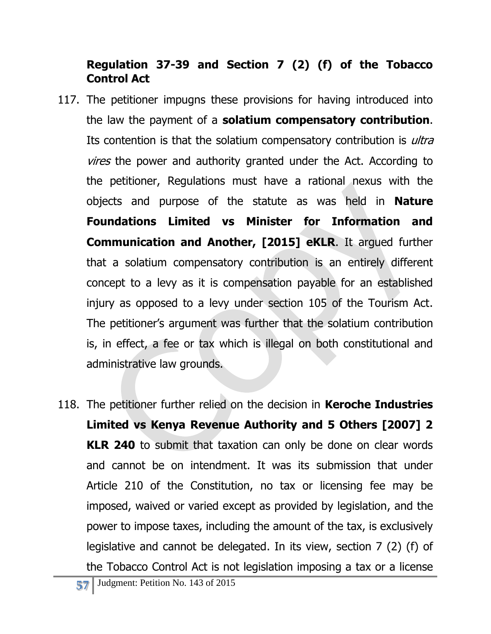## **Regulation 37-39 and Section 7 (2) (f) of the Tobacco Control Act**

- 117. The petitioner impugns these provisions for having introduced into the law the payment of a **solatium compensatory contribution**. Its contention is that the solatium compensatory contribution is *ultra vires* the power and authority granted under the Act. According to the petitioner, Regulations must have a rational nexus with the objects and purpose of the statute as was held in **Nature Foundations Limited vs Minister for Information and Communication and Another, [2015] eKLR**. It argued further that a solatium compensatory contribution is an entirely different concept to a levy as it is compensation payable for an established injury as opposed to a levy under section 105 of the Tourism Act. The petitioner's argument was further that the solatium contribution is, in effect, a fee or tax which is illegal on both constitutional and administrative law grounds.
- 118. The petitioner further relied on the decision in **Keroche Industries Limited vs Kenya Revenue Authority and 5 Others [2007] 2 KLR 240** to submit that taxation can only be done on clear words and cannot be on intendment. It was its submission that under Article 210 of the Constitution, no tax or licensing fee may be imposed, waived or varied except as provided by legislation, and the power to impose taxes, including the amount of the tax, is exclusively legislative and cannot be delegated. In its view, section 7 (2) (f) of the Tobacco Control Act is not legislation imposing a tax or a license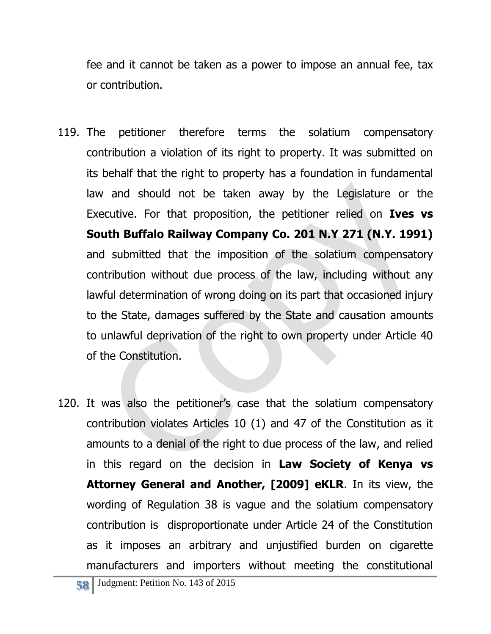fee and it cannot be taken as a power to impose an annual fee, tax or contribution.

- 119. The petitioner therefore terms the solatium compensatory contribution a violation of its right to property. It was submitted on its behalf that the right to property has a foundation in fundamental law and should not be taken away by the Legislature or the Executive. For that proposition, the petitioner relied on **Ives vs South Buffalo Railway Company Co. 201 N.Y 271 (N.Y. 1991)** and submitted that the imposition of the solatium compensatory contribution without due process of the law, including without any lawful determination of wrong doing on its part that occasioned injury to the State, damages suffered by the State and causation amounts to unlawful deprivation of the right to own property under Article 40 of the Constitution.
- 120. It was also the petitioner's case that the solatium compensatory contribution violates Articles 10 (1) and 47 of the Constitution as it amounts to a denial of the right to due process of the law, and relied in this regard on the decision in **Law Society of Kenya vs Attorney General and Another, [2009] eKLR**. In its view, the wording of Regulation 38 is vague and the solatium compensatory contribution is disproportionate under Article 24 of the Constitution as it imposes an arbitrary and unjustified burden on cigarette manufacturers and importers without meeting the constitutional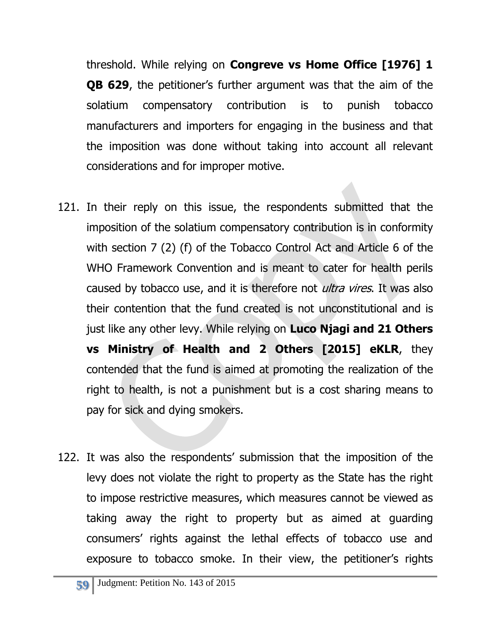threshold. While relying on **Congreve vs Home Office [1976] 1 QB 629**, the petitioner's further argument was that the aim of the solatium compensatory contribution is to punish tobacco manufacturers and importers for engaging in the business and that the imposition was done without taking into account all relevant considerations and for improper motive.

- 121. In their reply on this issue, the respondents submitted that the imposition of the solatium compensatory contribution is in conformity with section 7 (2) (f) of the Tobacco Control Act and Article 6 of the WHO Framework Convention and is meant to cater for health perils caused by tobacco use, and it is therefore not *ultra vires*. It was also their contention that the fund created is not unconstitutional and is just like any other levy. While relying on **Luco Njagi and 21 Others vs Ministry of Health and 2 Others [2015] eKLR**, they contended that the fund is aimed at promoting the realization of the right to health, is not a punishment but is a cost sharing means to pay for sick and dying smokers.
- 122. It was also the respondents' submission that the imposition of the levy does not violate the right to property as the State has the right to impose restrictive measures, which measures cannot be viewed as taking away the right to property but as aimed at guarding consumers' rights against the lethal effects of tobacco use and exposure to tobacco smoke. In their view, the petitioner's rights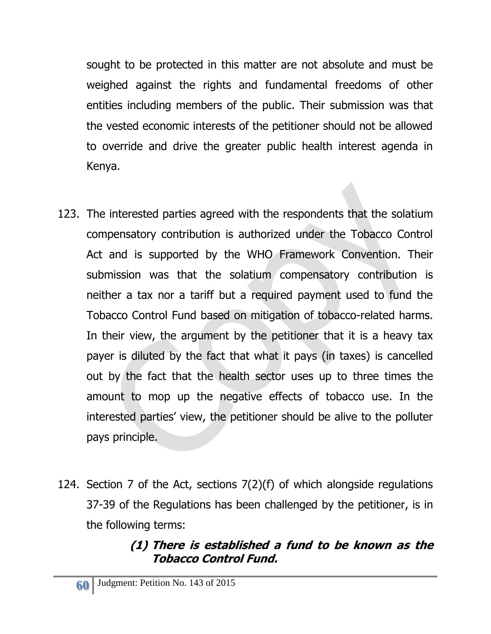sought to be protected in this matter are not absolute and must be weighed against the rights and fundamental freedoms of other entities including members of the public. Their submission was that the vested economic interests of the petitioner should not be allowed to override and drive the greater public health interest agenda in Kenya.

- 123. The interested parties agreed with the respondents that the solatium compensatory contribution is authorized under the Tobacco Control Act and is supported by the WHO Framework Convention. Their submission was that the solatium compensatory contribution is neither a tax nor a tariff but a required payment used to fund the Tobacco Control Fund based on mitigation of tobacco-related harms. In their view, the argument by the petitioner that it is a heavy tax payer is diluted by the fact that what it pays (in taxes) is cancelled out by the fact that the health sector uses up to three times the amount to mop up the negative effects of tobacco use. In the interested parties' view, the petitioner should be alive to the polluter pays principle.
- 124. Section 7 of the Act, sections 7(2)(f) of which alongside regulations 37-39 of the Regulations has been challenged by the petitioner, is in the following terms:

# **(1) There is established a fund to be known as the Tobacco Control Fund.**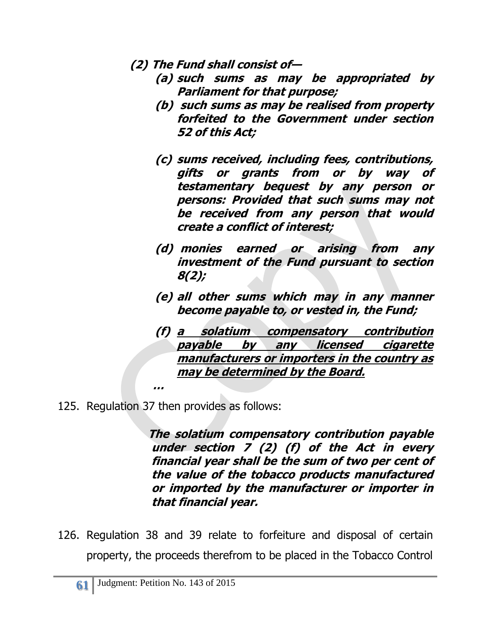- **(2) The Fund shall consist of—**
	- **(a) such sums as may be appropriated by Parliament for that purpose;**
	- **(b) such sums as may be realised from property forfeited to the Government under section 52 of this Act;**
	- **(c) sums received, including fees, contributions, gifts or grants from or by way of testamentary bequest by any person or persons: Provided that such sums may not be received from any person that would create a conflict of interest;**
	- **(d) monies earned or arising from any investment of the Fund pursuant to section 8(2);**
	- **(e) all other sums which may in any manner become payable to, or vested in, the Fund;**
	- **(f) a solatium compensatory contribution payable by any licensed cigarette manufacturers or importers in the country as may be determined by the Board.**
- 125. Regulation 37 then provides as follows:

 **…**

**The solatium compensatory contribution payable under section 7 (2) (f) of the Act in every financial year shall be the sum of two per cent of the value of the tobacco products manufactured or imported by the manufacturer or importer in that financial year.**

126. Regulation 38 and 39 relate to forfeiture and disposal of certain property, the proceeds therefrom to be placed in the Tobacco Control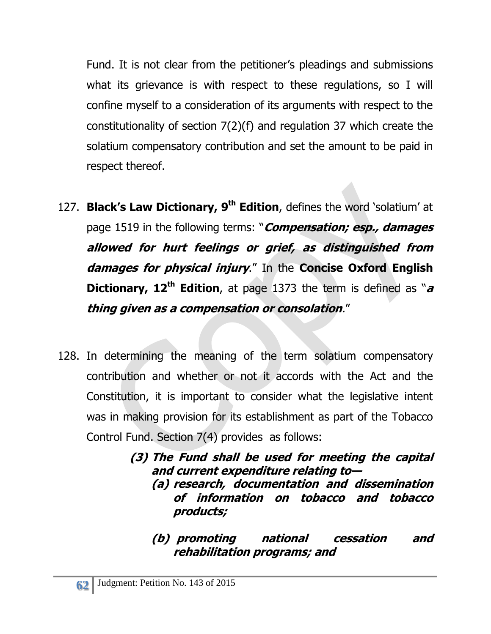Fund. It is not clear from the petitioner's pleadings and submissions what its grievance is with respect to these regulations, so I will confine myself to a consideration of its arguments with respect to the constitutionality of section 7(2)(f) and regulation 37 which create the solatium compensatory contribution and set the amount to be paid in respect thereof.

- 127. **Black's Law Dictionary, 9th Edition**, defines the word 'solatium' at page 1519 in the following terms: "**Compensation; esp., damages allowed for hurt feelings or grief, as distinguished from damages for physical injury**." In the **Concise Oxford English Dictionary, 12th Edition**, at page 1373 the term is defined as "**<sup>a</sup> thing given as a compensation or consolation**."
- 128. In determining the meaning of the term solatium compensatory contribution and whether or not it accords with the Act and the Constitution, it is important to consider what the legislative intent was in making provision for its establishment as part of the Tobacco Control Fund. Section 7(4) provides as follows:

**(3) The Fund shall be used for meeting the capital and current expenditure relating to— (a) research, documentation and dissemination of information on tobacco and tobacco products;**

**(b) promoting national cessation and rehabilitation programs; and**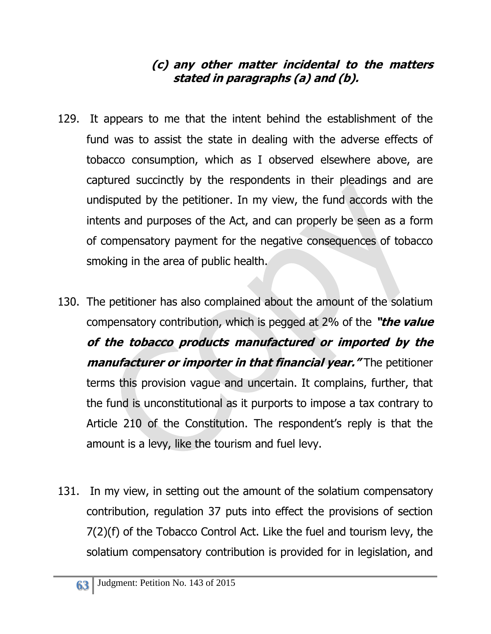#### **(c) any other matter incidental to the matters stated in paragraphs (a) and (b).**

- 129. It appears to me that the intent behind the establishment of the fund was to assist the state in dealing with the adverse effects of tobacco consumption, which as I observed elsewhere above, are captured succinctly by the respondents in their pleadings and are undisputed by the petitioner. In my view, the fund accords with the intents and purposes of the Act, and can properly be seen as a form of compensatory payment for the negative consequences of tobacco smoking in the area of public health.
- 130. The petitioner has also complained about the amount of the solatium compensatory contribution, which is pegged at 2% of the **"the value of the tobacco products manufactured or imported by the manufacturer or importer in that financial year."** The petitioner terms this provision vague and uncertain. It complains, further, that the fund is unconstitutional as it purports to impose a tax contrary to Article 210 of the Constitution. The respondent's reply is that the amount is a levy, like the tourism and fuel levy.
- 131. In my view, in setting out the amount of the solatium compensatory contribution, regulation 37 puts into effect the provisions of section 7(2)(f) of the Tobacco Control Act. Like the fuel and tourism levy, the solatium compensatory contribution is provided for in legislation, and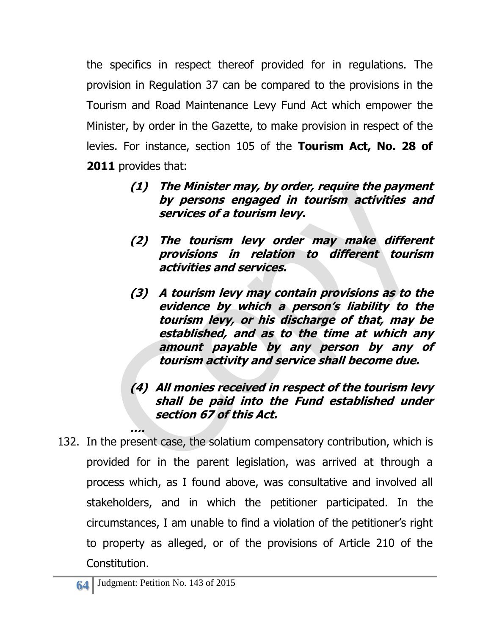the specifics in respect thereof provided for in regulations. The provision in Regulation 37 can be compared to the provisions in the Tourism and Road Maintenance Levy Fund Act which empower the Minister, by order in the Gazette, to make provision in respect of the levies. For instance, section 105 of the **Tourism Act, No. 28 of 2011** provides that:

- **(1) The Minister may, by order, require the payment by persons engaged in tourism activities and services of a tourism levy.**
- **(2) The tourism levy order may make different provisions in relation to different tourism activities and services.**
- **(3) A tourism levy may contain provisions as to the evidence by which a person's liability to the tourism levy, or his discharge of that, may be established, and as to the time at which any amount payable by any person by any of tourism activity and service shall become due.**

#### **(4) All monies received in respect of the tourism levy shall be paid into the Fund established under section 67 of this Act.**

132. In the present case, the solatium compensatory contribution, which is provided for in the parent legislation, was arrived at through a process which, as I found above, was consultative and involved all stakeholders, and in which the petitioner participated. In the circumstances, I am unable to find a violation of the petitioner's right to property as alleged, or of the provisions of Article 210 of the Constitution.

**….**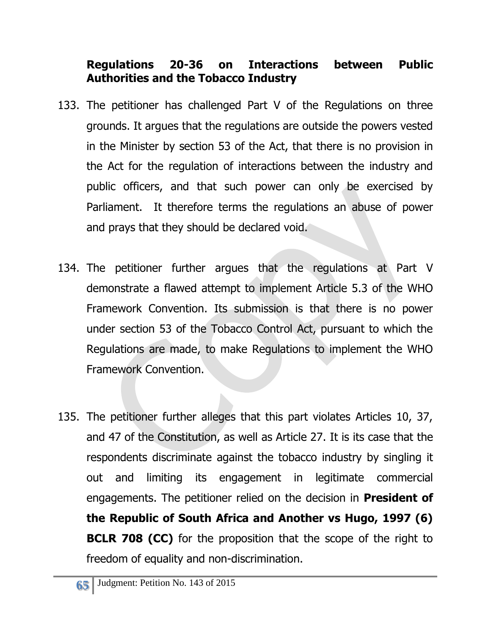## **Regulations 20-36 on Interactions between Public Authorities and the Tobacco Industry**

- 133. The petitioner has challenged Part V of the Regulations on three grounds. It argues that the regulations are outside the powers vested in the Minister by section 53 of the Act, that there is no provision in the Act for the regulation of interactions between the industry and public officers, and that such power can only be exercised by Parliament. It therefore terms the regulations an abuse of power and prays that they should be declared void.
- 134. The petitioner further argues that the regulations at Part V demonstrate a flawed attempt to implement Article 5.3 of the WHO Framework Convention. Its submission is that there is no power under section 53 of the Tobacco Control Act, pursuant to which the Regulations are made, to make Regulations to implement the WHO Framework Convention.
- 135. The petitioner further alleges that this part violates Articles 10, 37, and 47 of the Constitution, as well as Article 27. It is its case that the respondents discriminate against the tobacco industry by singling it out and limiting its engagement in legitimate commercial engagements. The petitioner relied on the decision in **President of the Republic of South Africa and Another vs Hugo, 1997 (6) BCLR 708 (CC)** for the proposition that the scope of the right to freedom of equality and non-discrimination.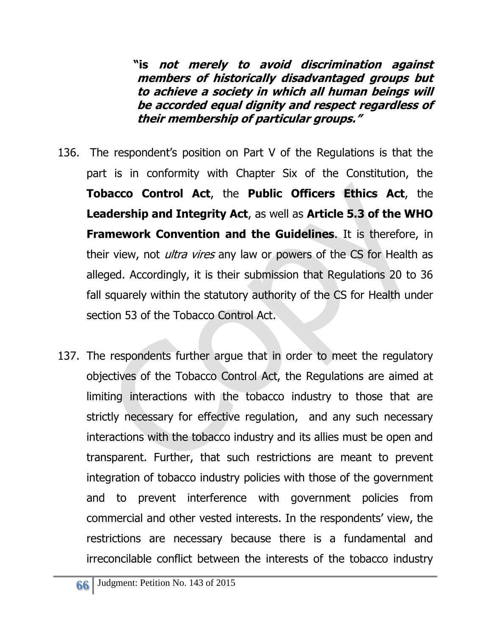**"is not merely to avoid discrimination against members of historically disadvantaged groups but to achieve a society in which all human beings will be accorded equal dignity and respect regardless of their membership of particular groups."** 

- 136. The respondent's position on Part V of the Regulations is that the part is in conformity with Chapter Six of the Constitution, the **Tobacco Control Act**, the **Public Officers Ethics Act**, the **Leadership and Integrity Act**, as well as **Article 5.3 of the WHO Framework Convention and the Guidelines**. It is therefore, in their view, not *ultra vires* any law or powers of the CS for Health as alleged. Accordingly, it is their submission that Regulations 20 to 36 fall squarely within the statutory authority of the CS for Health under section 53 of the Tobacco Control Act.
- 137. The respondents further argue that in order to meet the regulatory objectives of the Tobacco Control Act, the Regulations are aimed at limiting interactions with the tobacco industry to those that are strictly necessary for effective regulation, and any such necessary interactions with the tobacco industry and its allies must be open and transparent. Further, that such restrictions are meant to prevent integration of tobacco industry policies with those of the government and to prevent interference with government policies from commercial and other vested interests. In the respondents' view, the restrictions are necessary because there is a fundamental and irreconcilable conflict between the interests of the tobacco industry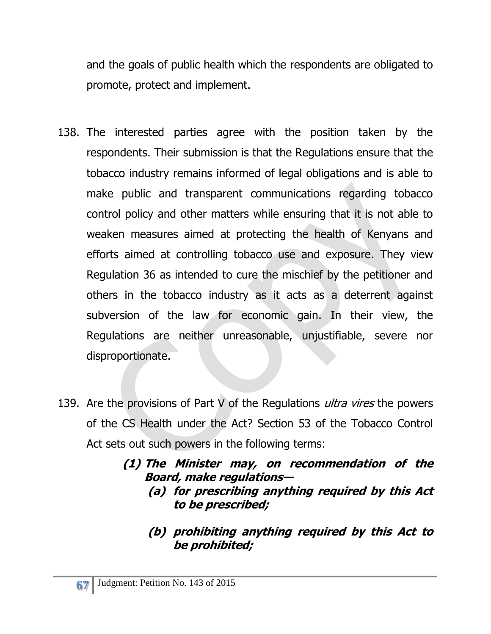and the goals of public health which the respondents are obligated to promote, protect and implement.

- 138. The interested parties agree with the position taken by the respondents. Their submission is that the Regulations ensure that the tobacco industry remains informed of legal obligations and is able to make public and transparent communications regarding tobacco control policy and other matters while ensuring that it is not able to weaken measures aimed at protecting the health of Kenyans and efforts aimed at controlling tobacco use and exposure. They view Regulation 36 as intended to cure the mischief by the petitioner and others in the tobacco industry as it acts as a deterrent against subversion of the law for economic gain. In their view, the Regulations are neither unreasonable, unjustifiable, severe nor disproportionate.
- 139. Are the provisions of Part V of the Regulations *ultra vires* the powers of the CS Health under the Act? Section 53 of the Tobacco Control Act sets out such powers in the following terms:

**(1) The Minister may, on recommendation of the Board, make regulations—**

- **(a) for prescribing anything required by this Act to be prescribed;**
- **(b) prohibiting anything required by this Act to be prohibited;**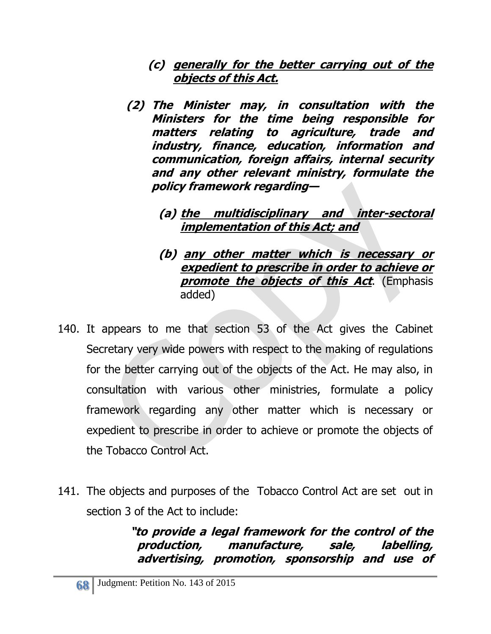- **(c) generally for the better carrying out of the objects of this Act.**
- **(2) The Minister may, in consultation with the Ministers for the time being responsible for matters relating to agriculture, trade and industry, finance, education, information and communication, foreign affairs, internal security and any other relevant ministry, formulate the policy framework regarding—**

#### **(a) the multidisciplinary and inter-sectoral implementation of this Act; and**

#### **(b) any other matter which is necessary or expedient to prescribe in order to achieve or promote the objects of this Act.** (Emphasis added)

- 140. It appears to me that section 53 of the Act gives the Cabinet Secretary very wide powers with respect to the making of regulations for the better carrying out of the objects of the Act. He may also, in consultation with various other ministries, formulate a policy framework regarding any other matter which is necessary or expedient to prescribe in order to achieve or promote the objects of the Tobacco Control Act.
- 141. The objects and purposes of the Tobacco Control Act are set out in section 3 of the Act to include:

**"to provide a legal framework for the control of the production, manufacture, sale, labelling, advertising, promotion, sponsorship and use of**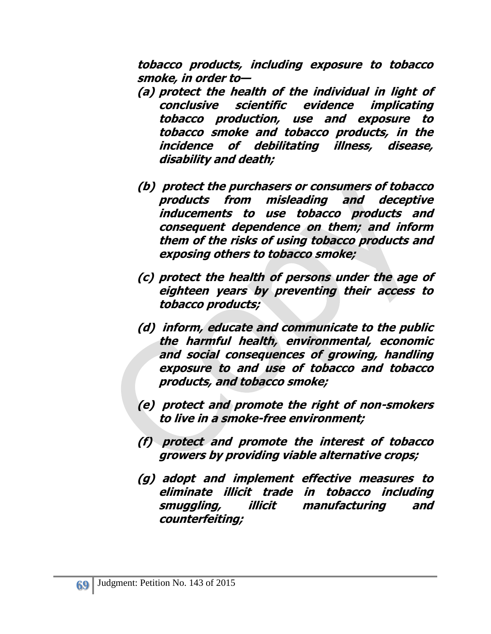**tobacco products, including exposure to tobacco smoke, in order to—**

- **(a) protect the health of the individual in light of conclusive scientific evidence implicating tobacco production, use and exposure to tobacco smoke and tobacco products, in the incidence of debilitating illness, disease, disability and death;**
- **(b) protect the purchasers or consumers of tobacco products from misleading and deceptive inducements to use tobacco products and consequent dependence on them; and inform them of the risks of using tobacco products and exposing others to tobacco smoke;**
- **(c) protect the health of persons under the age of eighteen years by preventing their access to tobacco products;**
- **(d) inform, educate and communicate to the public the harmful health, environmental, economic and social consequences of growing, handling exposure to and use of tobacco and tobacco products, and tobacco smoke;**
- **(e) protect and promote the right of non-smokers to live in a smoke-free environment;**
- **(f) protect and promote the interest of tobacco growers by providing viable alternative crops;**
- **(g) adopt and implement effective measures to eliminate illicit trade in tobacco including smuggling, illicit manufacturing and counterfeiting;**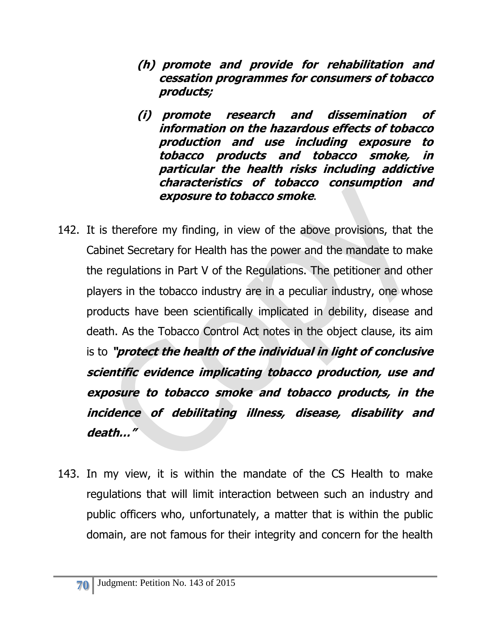- **(h) promote and provide for rehabilitation and cessation programmes for consumers of tobacco products;**
- **(i) promote research and dissemination of information on the hazardous effects of tobacco production and use including exposure to tobacco products and tobacco smoke, in particular the health risks including addictive characteristics of tobacco consumption and exposure to tobacco smoke**.
- 142. It is therefore my finding, in view of the above provisions, that the Cabinet Secretary for Health has the power and the mandate to make the regulations in Part V of the Regulations. The petitioner and other players in the tobacco industry are in a peculiar industry, one whose products have been scientifically implicated in debility, disease and death. As the Tobacco Control Act notes in the object clause, its aim is to **"protect the health of the individual in light of conclusive scientific evidence implicating tobacco production, use and exposure to tobacco smoke and tobacco products, in the incidence of debilitating illness, disease, disability and death…"**
- 143. In my view, it is within the mandate of the CS Health to make regulations that will limit interaction between such an industry and public officers who, unfortunately, a matter that is within the public domain, are not famous for their integrity and concern for the health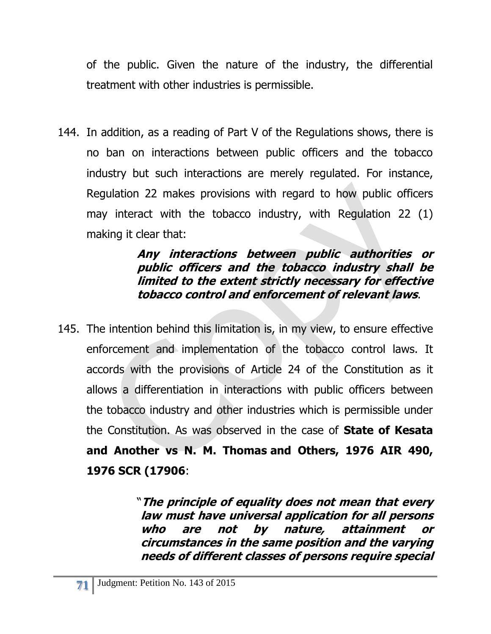of the public. Given the nature of the industry, the differential treatment with other industries is permissible.

144. In addition, as a reading of Part V of the Regulations shows, there is no ban on interactions between public officers and the tobacco industry but such interactions are merely regulated. For instance, Regulation 22 makes provisions with regard to how public officers may interact with the tobacco industry, with Regulation 22 (1) making it clear that:

#### **Any interactions between public authorities or public officers and the tobacco industry shall be limited to the extent strictly necessary for effective tobacco control and enforcement of relevant laws**.

145. The intention behind this limitation is, in my view, to ensure effective enforcement and implementation of the tobacco control laws. It accords with the provisions of Article 24 of the Constitution as it allows a differentiation in interactions with public officers between the tobacco industry and other industries which is permissible under the Constitution. As was observed in the case of **State of Kesata and Another vs N. M. Thomas and Others, 1976 AIR 490, 1976 SCR (17906**:

> "**The principle of equality does not mean that every law must have universal application for all persons who are not by nature, attainment or circumstances in the same position and the varying needs of different classes of persons require special**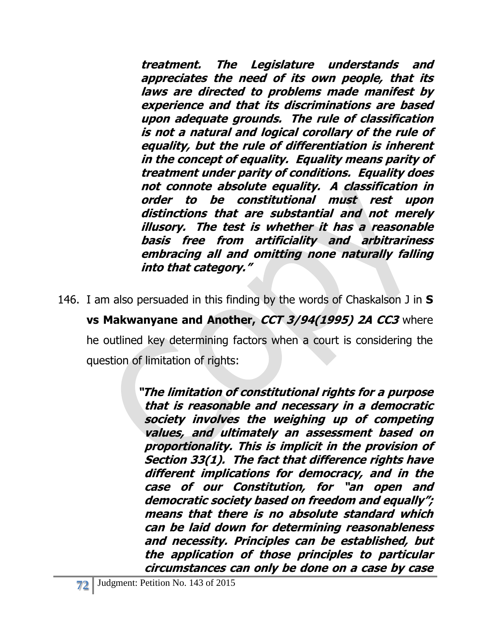**treatment. The Legislature understands and appreciates the need of its own people, that its laws are directed to problems made manifest by experience and that its discriminations are based upon adequate grounds. The rule of classification is not a natural and logical corollary of the rule of equality, but the rule of differentiation is inherent in the concept of equality. Equality means parity of treatment under parity of conditions. Equality does not connote absolute equality. A classification in order to be constitutional must rest upon distinctions that are substantial and not merely illusory. The test is whether it has a reasonable basis free from artificiality and arbitrariness embracing all and omitting none naturally falling into that category."**

146. I am also persuaded in this finding by the words of Chaskalson J in **S** 

**vs Makwanyane and Another, CCT 3/94(1995) 2A CC3** where he outlined key determining factors when a court is considering the question of limitation of rights:

> **"The limitation of constitutional rights for a purpose that is reasonable and necessary in a democratic society involves the weighing up of competing values, and ultimately an assessment based on proportionality. This is implicit in the provision of Section 33(1). The fact that difference rights have different implications for democracy, and in the case of our Constitution, for "an open and democratic society based on freedom and equally"; means that there is no absolute standard which can be laid down for determining reasonableness and necessity. Principles can be established, but the application of those principles to particular circumstances can only be done on a case by case**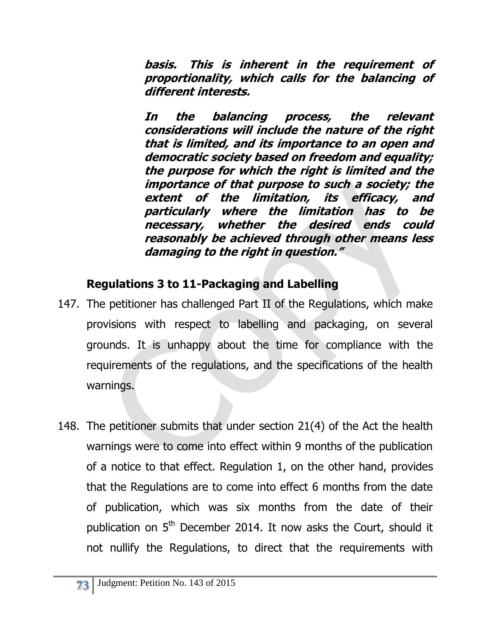**basis. This is inherent in the requirement of proportionality, which calls for the balancing of different interests.**

**In the balancing process, the relevant considerations will include the nature of the right that is limited, and its importance to an open and democratic society based on freedom and equality; the purpose for which the right is limited and the importance of that purpose to such a society; the extent of the limitation, its efficacy, and particularly where the limitation has to be necessary, whether the desired ends could reasonably be achieved through other means less damaging to the right in question."**

### **Regulations 3 to 11-Packaging and Labelling**

- 147. The petitioner has challenged Part II of the Regulations, which make provisions with respect to labelling and packaging, on several grounds. It is unhappy about the time for compliance with the requirements of the regulations, and the specifications of the health warnings.
- 148. The petitioner submits that under section 21(4) of the Act the health warnings were to come into effect within 9 months of the publication of a notice to that effect. Regulation 1, on the other hand, provides that the Regulations are to come into effect 6 months from the date of publication, which was six months from the date of their publication on 5<sup>th</sup> December 2014. It now asks the Court, should it not nullify the Regulations, to direct that the requirements with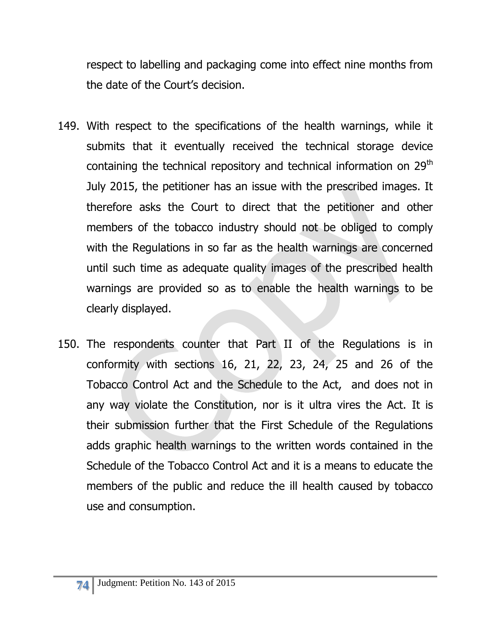respect to labelling and packaging come into effect nine months from the date of the Court's decision.

- 149. With respect to the specifications of the health warnings, while it submits that it eventually received the technical storage device containing the technical repository and technical information on 29<sup>th</sup> July 2015, the petitioner has an issue with the prescribed images. It therefore asks the Court to direct that the petitioner and other members of the tobacco industry should not be obliged to comply with the Regulations in so far as the health warnings are concerned until such time as adequate quality images of the prescribed health warnings are provided so as to enable the health warnings to be clearly displayed.
- 150. The respondents counter that Part II of the Regulations is in conformity with sections 16, 21, 22, 23, 24, 25 and 26 of the Tobacco Control Act and the Schedule to the Act, and does not in any way violate the Constitution, nor is it ultra vires the Act. It is their submission further that the First Schedule of the Regulations adds graphic health warnings to the written words contained in the Schedule of the Tobacco Control Act and it is a means to educate the members of the public and reduce the ill health caused by tobacco use and consumption.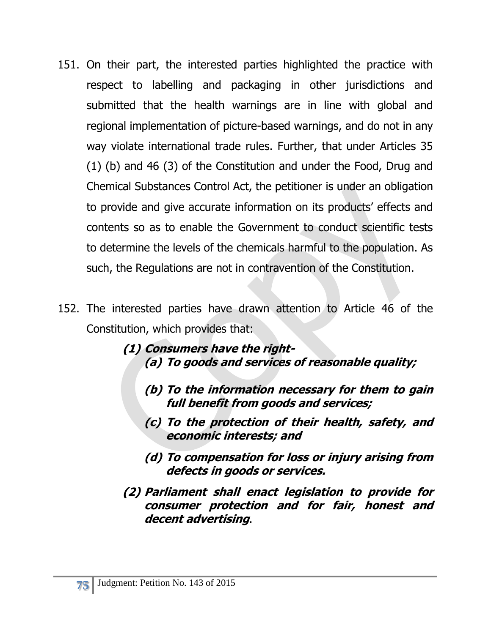- 151. On their part, the interested parties highlighted the practice with respect to labelling and packaging in other jurisdictions and submitted that the health warnings are in line with global and regional implementation of picture-based warnings, and do not in any way violate international trade rules. Further, that under Articles 35 (1) (b) and 46 (3) of the Constitution and under the Food, Drug and Chemical Substances Control Act, the petitioner is under an obligation to provide and give accurate information on its products' effects and contents so as to enable the Government to conduct scientific tests to determine the levels of the chemicals harmful to the population. As such, the Regulations are not in contravention of the Constitution.
- 152. The interested parties have drawn attention to Article 46 of the Constitution, which provides that:
	- **(1) Consumers have the right- (a) To goods and services of reasonable quality;**
		- **(b) To the information necessary for them to gain full benefit from goods and services;**
		- **(c) To the protection of their health, safety, and economic interests; and**
		- **(d) To compensation for loss or injury arising from defects in goods or services.**
	- **(2) Parliament shall enact legislation to provide for consumer protection and for fair, honest and decent advertising**.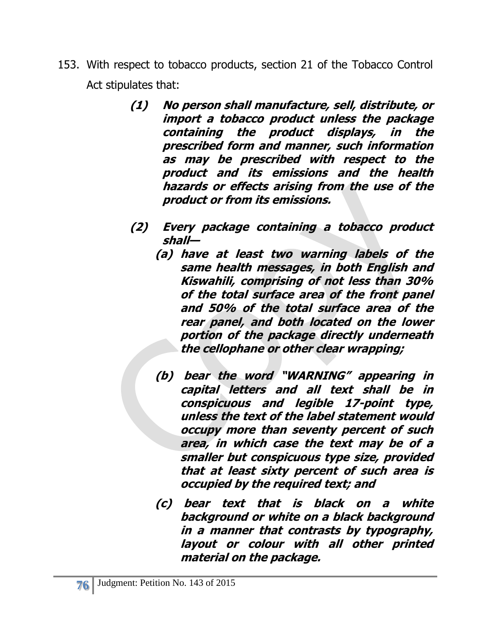- 153. With respect to tobacco products, section 21 of the Tobacco Control Act stipulates that:
	- **(1) No person shall manufacture, sell, distribute, or import a tobacco product unless the package containing the product displays, in the prescribed form and manner, such information as may be prescribed with respect to the product and its emissions and the health hazards or effects arising from the use of the product or from its emissions.**
	- **(2) Every package containing a tobacco product shall—**
		- **(a) have at least two warning labels of the same health messages, in both English and Kiswahili, comprising of not less than 30% of the total surface area of the front panel and 50% of the total surface area of the rear panel, and both located on the lower portion of the package directly underneath the cellophane or other clear wrapping;**
		- **(b) bear the word "WARNING" appearing in capital letters and all text shall be in conspicuous and legible 17-point type, unless the text of the label statement would occupy more than seventy percent of such area, in which case the text may be of a smaller but conspicuous type size, provided that at least sixty percent of such area is occupied by the required text; and**
		- **(c) bear text that is black on a white background or white on a black background in a manner that contrasts by typography, layout or colour with all other printed material on the package.**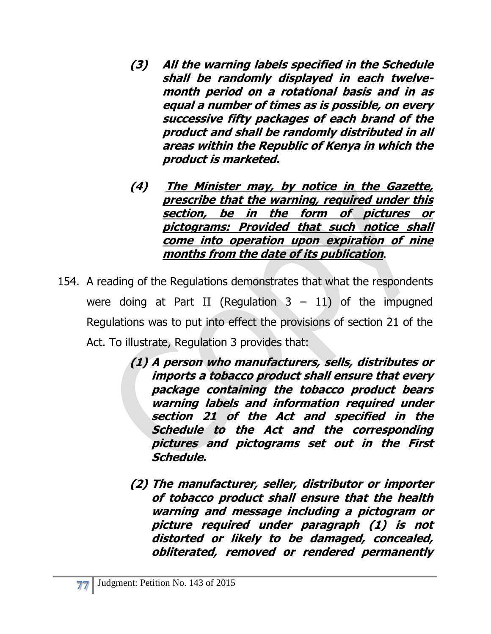- **(3) All the warning labels specified in the Schedule shall be randomly displayed in each twelvemonth period on a rotational basis and in as equal a number of times as is possible, on every successive fifty packages of each brand of the product and shall be randomly distributed in all areas within the Republic of Kenya in which the product is marketed.**
- **(4) The Minister may, by notice in the Gazette, prescribe that the warning, required under this section, be in the form of pictures or pictograms: Provided that such notice shall come into operation upon expiration of nine months from the date of its publication**.
- 154. A reading of the Regulations demonstrates that what the respondents were doing at Part II (Regulation  $3 - 11$ ) of the impugned Regulations was to put into effect the provisions of section 21 of the Act. To illustrate, Regulation 3 provides that:
	- **(1) A person who manufacturers, sells, distributes or imports a tobacco product shall ensure that every package containing the tobacco product bears warning labels and information required under section 21 of the Act and specified in the Schedule to the Act and the corresponding pictures and pictograms set out in the First Schedule.**
	- **(2) The manufacturer, seller, distributor or importer of tobacco product shall ensure that the health warning and message including a pictogram or picture required under paragraph (1) is not distorted or likely to be damaged, concealed, obliterated, removed or rendered permanently**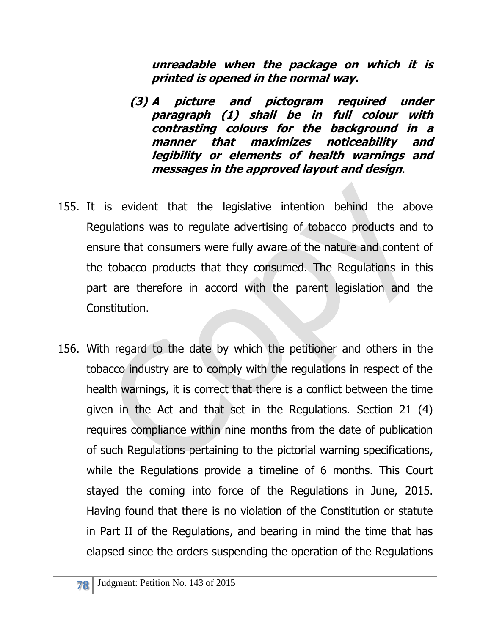**unreadable when the package on which it is printed is opened in the normal way.**

- **(3) A picture and pictogram required under paragraph (1) shall be in full colour with contrasting colours for the background in a manner that maximizes noticeability and legibility or elements of health warnings and messages in the approved layout and design**.
- 155. It is evident that the legislative intention behind the above Regulations was to regulate advertising of tobacco products and to ensure that consumers were fully aware of the nature and content of the tobacco products that they consumed. The Regulations in this part are therefore in accord with the parent legislation and the Constitution.
- 156. With regard to the date by which the petitioner and others in the tobacco industry are to comply with the regulations in respect of the health warnings, it is correct that there is a conflict between the time given in the Act and that set in the Regulations. Section 21 (4) requires compliance within nine months from the date of publication of such Regulations pertaining to the pictorial warning specifications, while the Regulations provide a timeline of 6 months. This Court stayed the coming into force of the Regulations in June, 2015. Having found that there is no violation of the Constitution or statute in Part II of the Regulations, and bearing in mind the time that has elapsed since the orders suspending the operation of the Regulations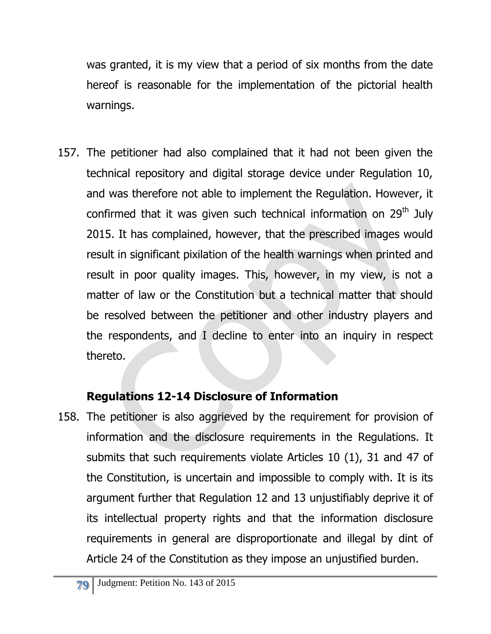was granted, it is my view that a period of six months from the date hereof is reasonable for the implementation of the pictorial health warnings.

157. The petitioner had also complained that it had not been given the technical repository and digital storage device under Regulation 10, and was therefore not able to implement the Regulation. However, it confirmed that it was given such technical information on 29<sup>th</sup> July 2015. It has complained, however, that the prescribed images would result in significant pixilation of the health warnings when printed and result in poor quality images. This, however, in my view, is not a matter of law or the Constitution but a technical matter that should be resolved between the petitioner and other industry players and the respondents, and I decline to enter into an inquiry in respect thereto.

### **Regulations 12-14 Disclosure of Information**

158. The petitioner is also aggrieved by the requirement for provision of information and the disclosure requirements in the Regulations. It submits that such requirements violate Articles 10 (1), 31 and 47 of the Constitution, is uncertain and impossible to comply with. It is its argument further that Regulation 12 and 13 unjustifiably deprive it of its intellectual property rights and that the information disclosure requirements in general are disproportionate and illegal by dint of Article 24 of the Constitution as they impose an unjustified burden.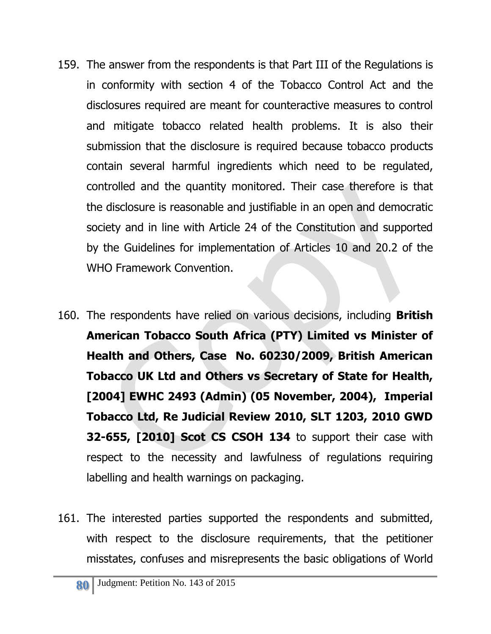- 159. The answer from the respondents is that Part III of the Regulations is in conformity with section 4 of the Tobacco Control Act and the disclosures required are meant for counteractive measures to control and mitigate tobacco related health problems. It is also their submission that the disclosure is required because tobacco products contain several harmful ingredients which need to be regulated, controlled and the quantity monitored. Their case therefore is that the disclosure is reasonable and justifiable in an open and democratic society and in line with Article 24 of the Constitution and supported by the Guidelines for implementation of Articles 10 and 20.2 of the WHO Framework Convention.
- 160. The respondents have relied on various decisions, including **British American Tobacco South Africa (PTY) Limited vs Minister of Health and Others, Case No. 60230/2009, British American Tobacco UK Ltd and Others vs Secretary of State for Health, [2004] EWHC 2493 (Admin) (05 November, 2004), Imperial Tobacco Ltd, Re Judicial Review 2010, SLT 1203, 2010 GWD 32-655, [2010] Scot CS CSOH 134** to support their case with respect to the necessity and lawfulness of regulations requiring labelling and health warnings on packaging.
- 161. The interested parties supported the respondents and submitted, with respect to the disclosure requirements, that the petitioner misstates, confuses and misrepresents the basic obligations of World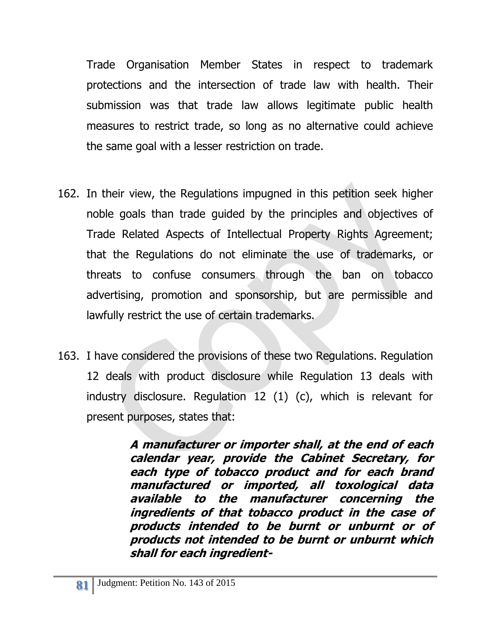Trade Organisation Member States in respect to trademark protections and the intersection of trade law with health. Their submission was that trade law allows legitimate public health measures to restrict trade, so long as no alternative could achieve the same goal with a lesser restriction on trade.

- 162. In their view, the Regulations impugned in this petition seek higher noble goals than trade guided by the principles and objectives of Trade Related Aspects of Intellectual Property Rights Agreement; that the Regulations do not eliminate the use of trademarks, or threats to confuse consumers through the ban on tobacco advertising, promotion and sponsorship, but are permissible and lawfully restrict the use of certain trademarks.
- 163. I have considered the provisions of these two Regulations. Regulation 12 deals with product disclosure while Regulation 13 deals with industry disclosure. Regulation 12 (1) (c), which is relevant for present purposes, states that:

**A manufacturer or importer shall, at the end of each calendar year, provide the Cabinet Secretary, for each type of tobacco product and for each brand manufactured or imported, all toxological data available to the manufacturer concerning the ingredients of that tobacco product in the case of products intended to be burnt or unburnt or of products not intended to be burnt or unburnt which shall for each ingredient-**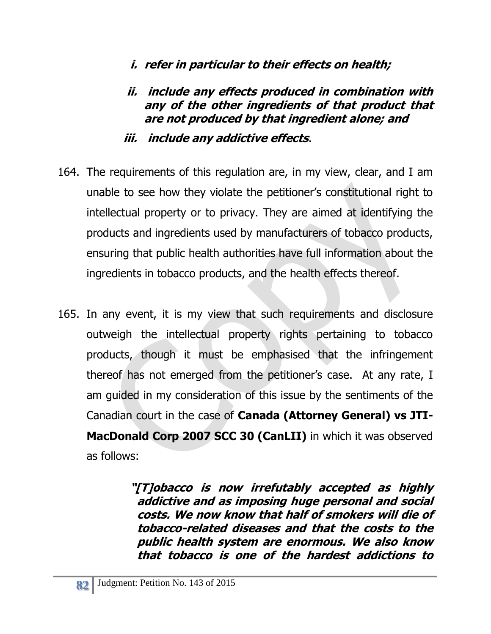- **i. refer in particular to their effects on health;**
- **ii. include any effects produced in combination with any of the other ingredients of that product that are not produced by that ingredient alone; and**
- **iii. include any addictive effects**.
- 164. The requirements of this regulation are, in my view, clear, and I am unable to see how they violate the petitioner's constitutional right to intellectual property or to privacy. They are aimed at identifying the products and ingredients used by manufacturers of tobacco products, ensuring that public health authorities have full information about the ingredients in tobacco products, and the health effects thereof.
- 165. In any event, it is my view that such requirements and disclosure outweigh the intellectual property rights pertaining to tobacco products, though it must be emphasised that the infringement thereof has not emerged from the petitioner's case. At any rate, I am guided in my consideration of this issue by the sentiments of the Canadian court in the case of **Canada (Attorney General) vs JTI-MacDonald Corp [2007 SCC 30](http://scc.lexum.umontreal.ca/en/2007/2007scc30/2007scc30.html) (CanLII)** in which it was observed as follows:

**"[T]obacco is now irrefutably accepted as highly addictive and as imposing huge personal and social costs. We now know that half of smokers will die of tobacco-related diseases and that the costs to the public health system are enormous. We also know that tobacco is one of the hardest addictions to**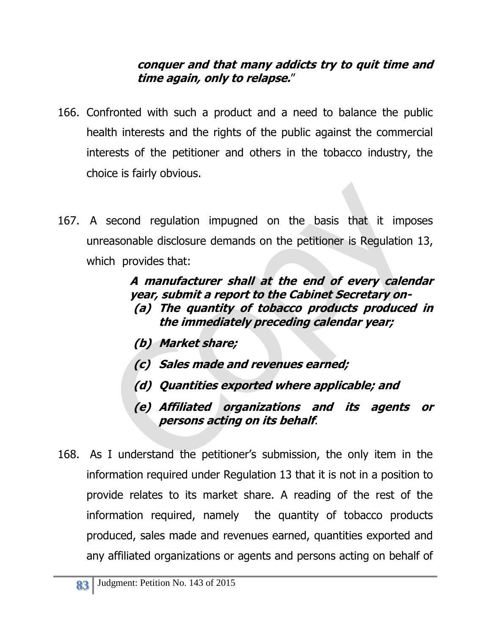#### **conquer and that many addicts try to quit time and time again, only to relapse.**"

- 166. Confronted with such a product and a need to balance the public health interests and the rights of the public against the commercial interests of the petitioner and others in the tobacco industry, the choice is fairly obvious.
- 167. A second regulation impugned on the basis that it imposes unreasonable disclosure demands on the petitioner is Regulation 13, which provides that:

#### **A manufacturer shall at the end of every calendar year, submit a report to the Cabinet Secretary on- (a) The quantity of tobacco products produced in the immediately preceding calendar year;**

- **(b) Market share;**
- **(c) Sales made and revenues earned;**
- **(d) Quantities exported where applicable; and**
- **(e) Affiliated organizations and its agents or persons acting on its behalf**.
- 168. As I understand the petitioner's submission, the only item in the information required under Regulation 13 that it is not in a position to provide relates to its market share. A reading of the rest of the information required, namely the quantity of tobacco products produced, sales made and revenues earned, quantities exported and any affiliated organizations or agents and persons acting on behalf of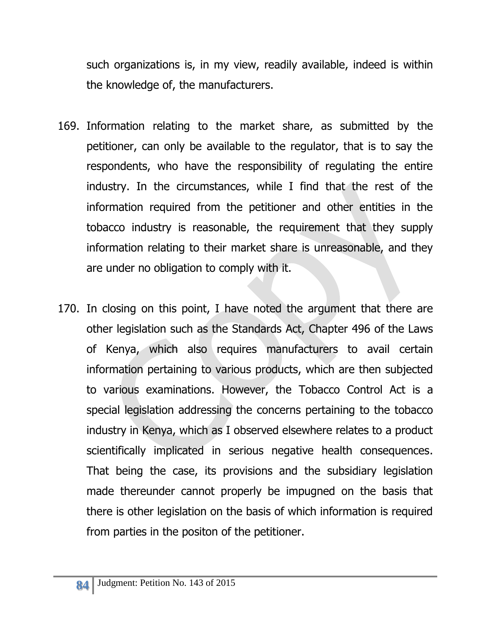such organizations is, in my view, readily available, indeed is within the knowledge of, the manufacturers.

- 169. Information relating to the market share, as submitted by the petitioner, can only be available to the regulator, that is to say the respondents, who have the responsibility of regulating the entire industry. In the circumstances, while I find that the rest of the information required from the petitioner and other entities in the tobacco industry is reasonable, the requirement that they supply information relating to their market share is unreasonable, and they are under no obligation to comply with it.
- 170. In closing on this point, I have noted the argument that there are other legislation such as the Standards Act, Chapter 496 of the Laws of Kenya, which also requires manufacturers to avail certain information pertaining to various products, which are then subjected to various examinations. However, the Tobacco Control Act is a special legislation addressing the concerns pertaining to the tobacco industry in Kenya, which as I observed elsewhere relates to a product scientifically implicated in serious negative health consequences. That being the case, its provisions and the subsidiary legislation made thereunder cannot properly be impugned on the basis that there is other legislation on the basis of which information is required from parties in the positon of the petitioner.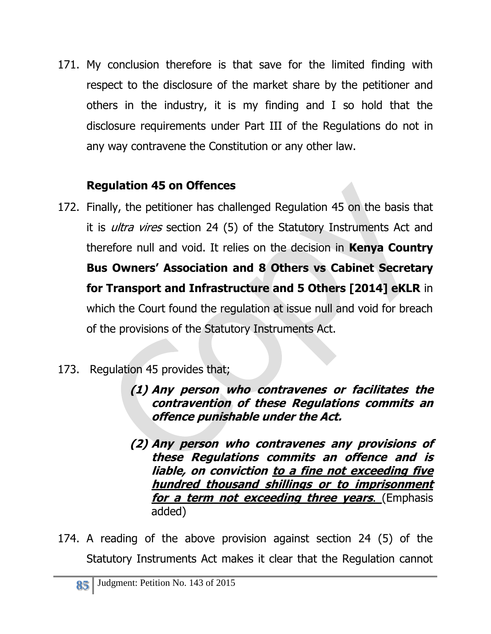171. My conclusion therefore is that save for the limited finding with respect to the disclosure of the market share by the petitioner and others in the industry, it is my finding and I so hold that the disclosure requirements under Part III of the Regulations do not in any way contravene the Constitution or any other law.

## **Regulation 45 on Offences**

- 172. Finally, the petitioner has challenged Regulation 45 on the basis that it is *ultra vires* section 24 (5) of the Statutory Instruments Act and therefore null and void. It relies on the decision in **Kenya Country Bus Owners' Association and 8 Others vs Cabinet Secretary for Transport and Infrastructure and 5 Others [2014] eKLR** in which the Court found the regulation at issue null and void for breach of the provisions of the Statutory Instruments Act.
- 173. Regulation 45 provides that;
	- **(1) Any person who contravenes or facilitates the contravention of these Regulations commits an offence punishable under the Act.**
	- **(2) Any person who contravenes any provisions of these Regulations commits an offence and is liable, on conviction to a fine not exceeding five hundred thousand shillings or to imprisonment for a term not exceeding three years**. (Emphasis added)
- 174. A reading of the above provision against section 24 (5) of the Statutory Instruments Act makes it clear that the Regulation cannot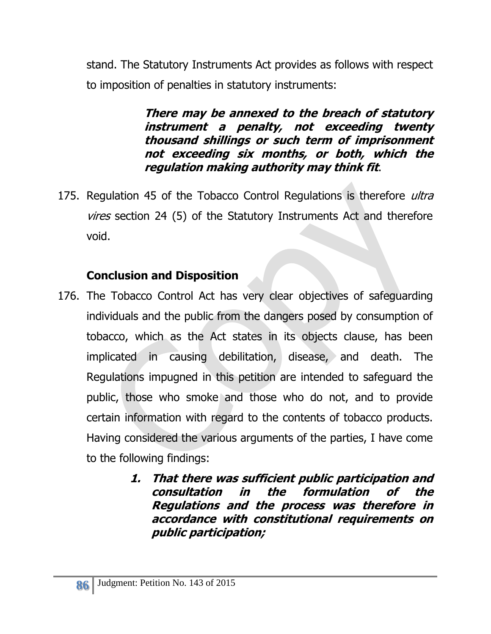stand. The Statutory Instruments Act provides as follows with respect to imposition of penalties in statutory instruments:

> **There may be annexed to the breach of statutory instrument a penalty, not exceeding twenty thousand shillings or such term of imprisonment not exceeding six months, or both, which the regulation making authority may think fit**.

175. Regulation 45 of the Tobacco Control Regulations is therefore *ultra* vires section 24 (5) of the Statutory Instruments Act and therefore void.

## **Conclusion and Disposition**

- 176. The Tobacco Control Act has very clear objectives of safeguarding individuals and the public from the dangers posed by consumption of tobacco, which as the Act states in its objects clause, has been implicated in causing debilitation, disease, and death. The Regulations impugned in this petition are intended to safeguard the public, those who smoke and those who do not, and to provide certain information with regard to the contents of tobacco products. Having considered the various arguments of the parties, I have come to the following findings:
	- **1. That there was sufficient public participation and consultation in the formulation of the Regulations and the process was therefore in accordance with constitutional requirements on public participation;**